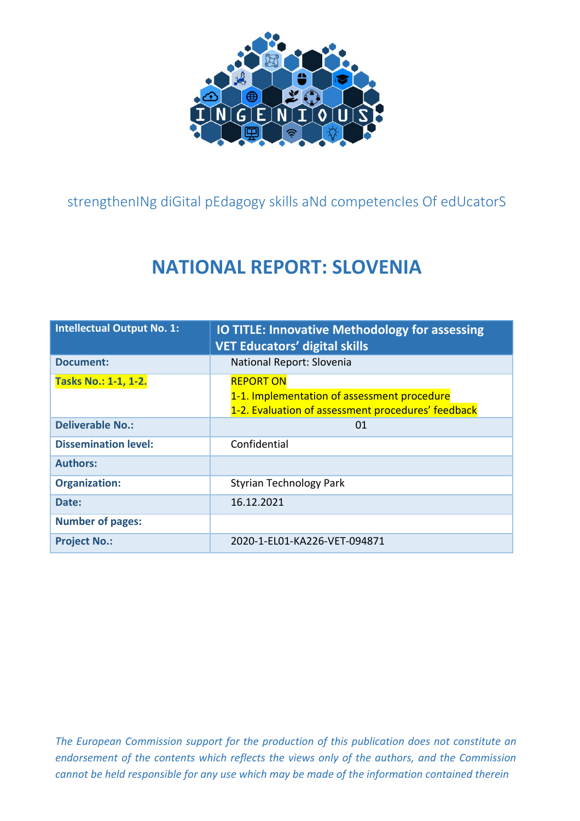

strengthenINg diGital pEdagogy skills aNd competencIes Of edUcatorS

# **NATIONAL REPORT: SLOVENIA**

| <b>Intellectual Output No. 1:</b> | <b>IO TITLE: Innovative Methodology for assessing</b><br><b>VET Educators' digital skills</b>                         |
|-----------------------------------|-----------------------------------------------------------------------------------------------------------------------|
| <b>Document:</b>                  | National Report: Slovenia                                                                                             |
| Tasks No.: 1-1, 1-2.              | <b>REPORT ON</b><br>1-1. Implementation of assessment procedure<br>1-2. Evaluation of assessment procedures' feedback |
| <b>Deliverable No.:</b>           | 01                                                                                                                    |
| <b>Dissemination level:</b>       | Confidential                                                                                                          |
| <b>Authors:</b>                   |                                                                                                                       |
| <b>Organization:</b>              | <b>Styrian Technology Park</b>                                                                                        |
| Date:                             | 16.12.2021                                                                                                            |
| <b>Number of pages:</b>           |                                                                                                                       |
| <b>Project No.:</b>               | 2020-1-EL01-KA226-VET-094871                                                                                          |

*The European Commission support for the production of this publication does not constitute an endorsement of the contents which reflects the views only of the authors, and the Commission cannot be held responsible for any use which may be made of the information contained therein*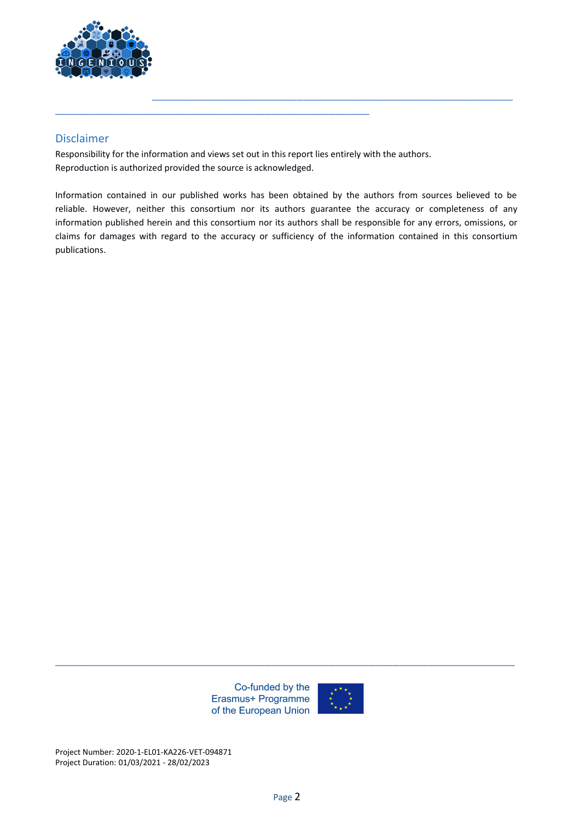

#### Disclaimer

Responsibility for the information and views set out in this report lies entirely with the authors. Reproduction is authorized provided the source is acknowledged.

\_\_\_\_\_\_\_\_\_\_\_\_\_\_\_\_\_\_\_\_\_\_\_\_\_\_\_\_\_\_\_\_\_\_\_\_\_\_\_\_\_\_\_\_\_\_\_\_\_\_\_\_\_\_

Information contained in our published works has been obtained by the authors from sources believed to be reliable. However, neither this consortium nor its authors guarantee the accuracy or completeness of any information published herein and this consortium nor its authors shall be responsible for any errors, omissions, or claims for damages with regard to the accuracy or sufficiency of the information contained in this consortium publications.

\_\_\_\_\_\_\_\_\_\_\_\_\_\_\_\_\_\_\_\_\_\_\_\_\_\_\_\_\_\_\_\_\_\_\_\_\_\_\_\_\_\_\_\_\_\_\_\_\_\_\_\_\_\_\_\_\_\_\_\_\_\_

Co-funded by the Erasmus+ Programme of the European Union



Project Number: 2020-1-EL01-KA226-VET-094871 Project Duration: 01/03/2021 - 28/02/2023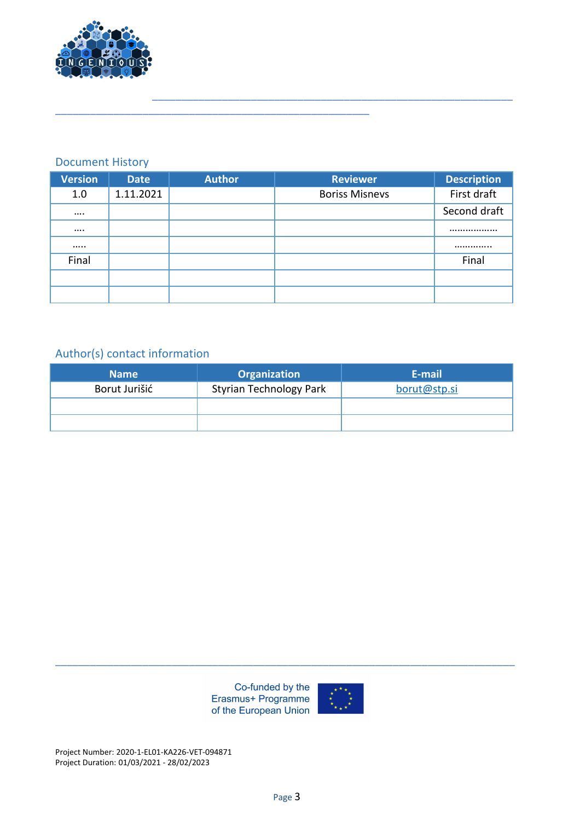

## Document History

| <b>Version</b> | <b>Date</b> | <b>Author</b> | Reviewer              | <b>Description</b> |
|----------------|-------------|---------------|-----------------------|--------------------|
| 1.0            | 1.11.2021   |               | <b>Boriss Misnevs</b> | First draft        |
| $\cdots$       |             |               |                       | Second draft       |
| $\cdots$       |             |               |                       |                    |
|                |             |               |                       |                    |
| Final          |             |               |                       | Final              |
|                |             |               |                       |                    |
|                |             |               |                       |                    |

\_\_\_\_\_\_\_\_\_\_\_\_\_\_\_\_\_\_\_\_\_\_\_\_\_\_\_\_\_\_\_\_\_\_\_\_\_\_\_\_\_\_\_\_\_\_\_\_\_\_\_\_\_\_

\_\_\_\_\_\_\_\_\_\_\_\_\_\_\_\_\_\_\_\_\_\_\_\_\_\_\_\_\_\_\_\_\_\_\_\_\_\_\_\_\_\_\_\_\_\_\_\_\_\_\_\_\_\_\_\_\_\_\_\_\_\_

## Author(s) contact information

| <b>Name</b>   | <b>Organization</b>            | E-mail       |
|---------------|--------------------------------|--------------|
| Borut Jurišić | <b>Styrian Technology Park</b> | borut@stp.si |
|               |                                |              |
|               |                                |              |

Co-funded by the<br>Erasmus+ Programme of the European Union



Project Number: 2020-1-EL01-KA226-VET-094871 Project Duration: 01/03/2021 - 28/02/2023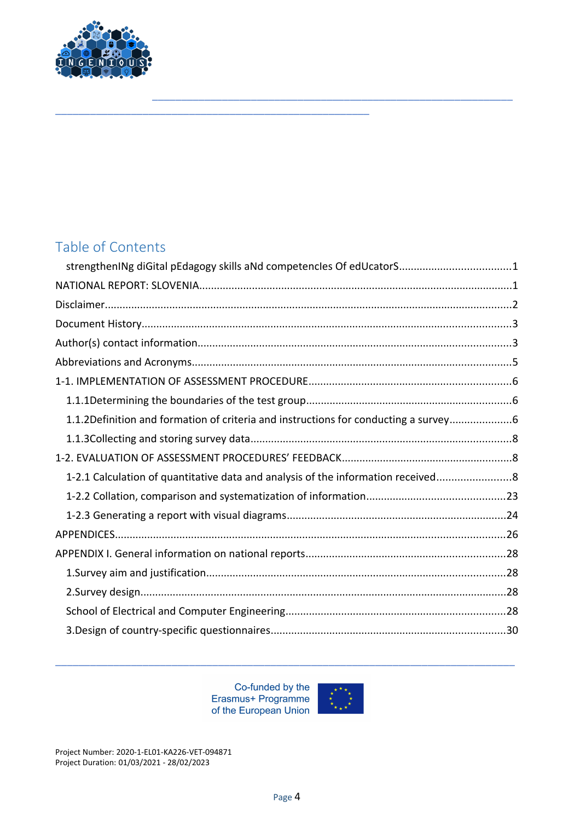

## Table of Contents

| strengthenINg diGital pEdagogy skills aNd competencles Of edUcatorS1                |  |
|-------------------------------------------------------------------------------------|--|
|                                                                                     |  |
|                                                                                     |  |
|                                                                                     |  |
|                                                                                     |  |
|                                                                                     |  |
|                                                                                     |  |
|                                                                                     |  |
| 1.1.2Definition and formation of criteria and instructions for conducting a survey6 |  |
|                                                                                     |  |
|                                                                                     |  |
| 1-2.1 Calculation of quantitative data and analysis of the information received8    |  |
|                                                                                     |  |
|                                                                                     |  |
|                                                                                     |  |
|                                                                                     |  |
|                                                                                     |  |
|                                                                                     |  |
|                                                                                     |  |
|                                                                                     |  |

\_\_\_\_\_\_\_\_\_\_\_\_\_\_\_\_\_\_\_\_\_\_\_\_\_\_\_\_\_\_\_\_\_\_\_\_\_\_\_\_\_\_\_\_\_\_\_\_\_\_\_\_\_\_\_\_\_\_\_\_\_\_

Co-funded by the<br>Erasmus+ Programme<br>of the European Union

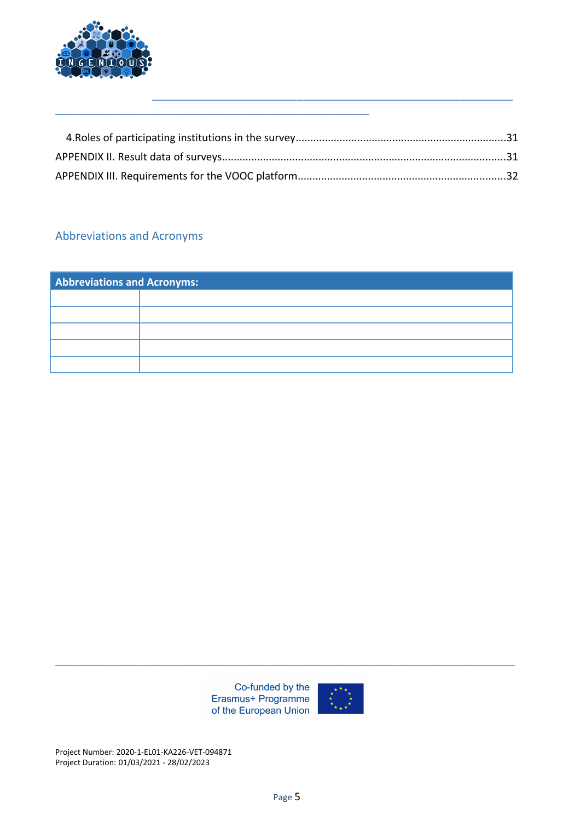

\_\_\_\_\_\_\_\_\_\_\_\_\_\_\_\_\_\_\_\_\_\_\_\_\_\_\_\_\_\_\_\_\_\_\_\_\_\_\_\_\_\_\_\_\_\_\_\_\_\_\_\_\_\_\_\_\_\_\_\_\_\_

## Abbreviations and Acronyms

| <b>Abbreviations and Acronyms:</b> |  |  |  |
|------------------------------------|--|--|--|
|                                    |  |  |  |
|                                    |  |  |  |
|                                    |  |  |  |
|                                    |  |  |  |
|                                    |  |  |  |

Co-funded by the<br>Erasmus+ Programme of the European Union



Project Number: 2020-1-EL01-KA226-VET-094871 Project Duration: 01/03/2021 - 28/02/2023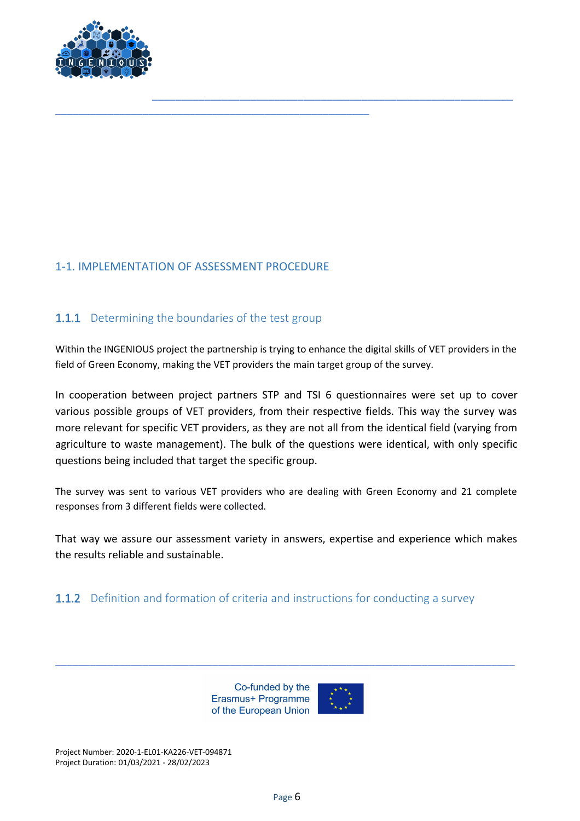

## 1-1. IMPLEMENTATION OF ASSESSMENT PROCEDURE

\_\_\_\_\_\_\_\_\_\_\_\_\_\_\_\_\_\_\_\_\_\_\_\_\_\_\_\_\_\_\_\_\_\_\_\_\_\_\_\_\_\_\_\_\_\_\_\_\_\_\_\_\_\_

## 1.1.1 Determining the boundaries of the test group

Within the INGENIOUS project the partnership is trying to enhance the digital skills of VET providers in the field of Green Economy, making the VET providers the main target group of the survey.

\_\_\_\_\_\_\_\_\_\_\_\_\_\_\_\_\_\_\_\_\_\_\_\_\_\_\_\_\_\_\_\_\_\_\_\_\_\_\_\_\_\_\_\_\_\_\_\_\_\_\_\_\_\_\_\_\_\_\_\_\_\_

In cooperation between project partners STP and TSI 6 questionnaires were set up to cover various possible groups of VET providers, from their respective fields. This way the survey was more relevant for specific VET providers, as they are not all from the identical field (varying from agriculture to waste management). The bulk of the questions were identical, with only specific questions being included that target the specific group.

The survey was sent to various VET providers who are dealing with Green Economy and 21 complete responses from 3 different fields were collected.

That way we assure our assessment variety in answers, expertise and experience which makes the results reliable and sustainable.

\_\_\_\_\_\_\_\_\_\_\_\_\_\_\_\_\_\_\_\_\_\_\_\_\_\_\_\_\_\_\_\_\_\_\_\_\_\_\_\_\_\_\_\_\_\_\_\_\_\_\_\_\_\_\_\_\_\_\_\_\_\_\_\_\_\_\_\_\_\_\_\_\_\_\_\_\_\_\_

## 1.1.2 Definition and formation of criteria and instructions for conducting a survey

Co-funded by the Erasmus+ Programme of the European Union

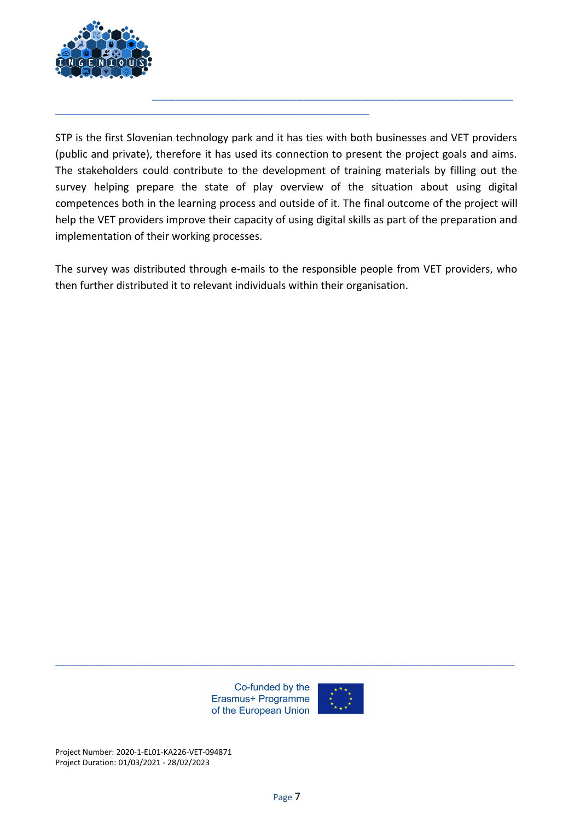

STP is the first Slovenian technology park and it has ties with both businesses and VET providers (public and private), therefore it has used its connection to present the project goals and aims. The stakeholders could contribute to the development of training materials by filling out the survey helping prepare the state of play overview of the situation about using digital competences both in the learning process and outside of it. The final outcome of the project will help the VET providers improve their capacity of using digital skills as part of the preparation and implementation of their working processes.

\_\_\_\_\_\_\_\_\_\_\_\_\_\_\_\_\_\_\_\_\_\_\_\_\_\_\_\_\_\_\_\_\_\_\_\_\_\_\_\_\_\_\_\_\_\_\_\_\_\_\_\_\_\_

\_\_\_\_\_\_\_\_\_\_\_\_\_\_\_\_\_\_\_\_\_\_\_\_\_\_\_\_\_\_\_\_\_\_\_\_\_\_\_\_\_\_\_\_\_\_\_\_\_\_\_\_\_\_\_\_\_\_\_\_\_\_

The survey was distributed through e-mails to the responsible people from VET providers, who then further distributed it to relevant individuals within their organisation.

> Co-funded by the Erasmus+ Programme of the European Union



Project Number: 2020-1-EL01-KA226-VET-094871 Project Duration: 01/03/2021 - 28/02/2023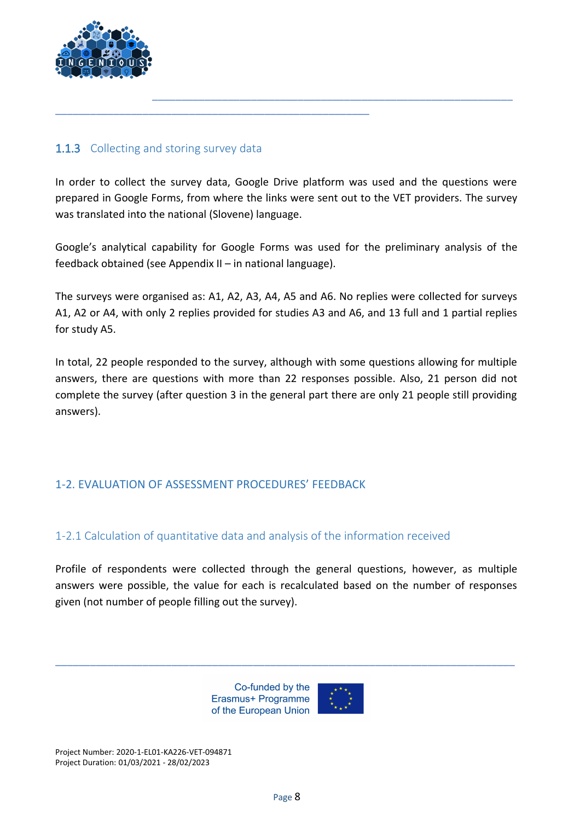

## 1.1.3 Collecting and storing survey data

\_\_\_\_\_\_\_\_\_\_\_\_\_\_\_\_\_\_\_\_\_\_\_\_\_\_\_\_\_\_\_\_\_\_\_\_\_\_\_\_\_\_\_\_\_\_\_\_\_\_\_\_\_\_

In order to collect the survey data, Google Drive platform was used and the questions were prepared in Google Forms, from where the links were sent out to the VET providers. The survey was translated into the national (Slovene) language.

\_\_\_\_\_\_\_\_\_\_\_\_\_\_\_\_\_\_\_\_\_\_\_\_\_\_\_\_\_\_\_\_\_\_\_\_\_\_\_\_\_\_\_\_\_\_\_\_\_\_\_\_\_\_\_\_\_\_\_\_\_\_

Google's analytical capability for Google Forms was used for the preliminary analysis of the feedback obtained (see Appendix II – in national language).

The surveys were organised as: A1, A2, A3, A4, A5 and A6. No replies were collected for surveys A1, A2 or A4, with only 2 replies provided for studies A3 and A6, and 13 full and 1 partial replies for study A5.

In total, 22 people responded to the survey, although with some questions allowing for multiple answers, there are questions with more than 22 responses possible. Also, 21 person did not complete the survey (after question 3 in the general part there are only 21 people still providing answers).

## 1-2. EVALUATION OF ASSESSMENT PROCEDURES' FEEDBACK

## 1-2.1 Calculation of quantitative data and analysis of the information received

Profile of respondents were collected through the general questions, however, as multiple answers were possible, the value for each is recalculated based on the number of responses given (not number of people filling out the survey).

\_\_\_\_\_\_\_\_\_\_\_\_\_\_\_\_\_\_\_\_\_\_\_\_\_\_\_\_\_\_\_\_\_\_\_\_\_\_\_\_\_\_\_\_\_\_\_\_\_\_\_\_\_\_\_\_\_\_\_\_\_\_\_\_\_\_\_\_\_\_\_\_\_\_\_\_\_\_\_

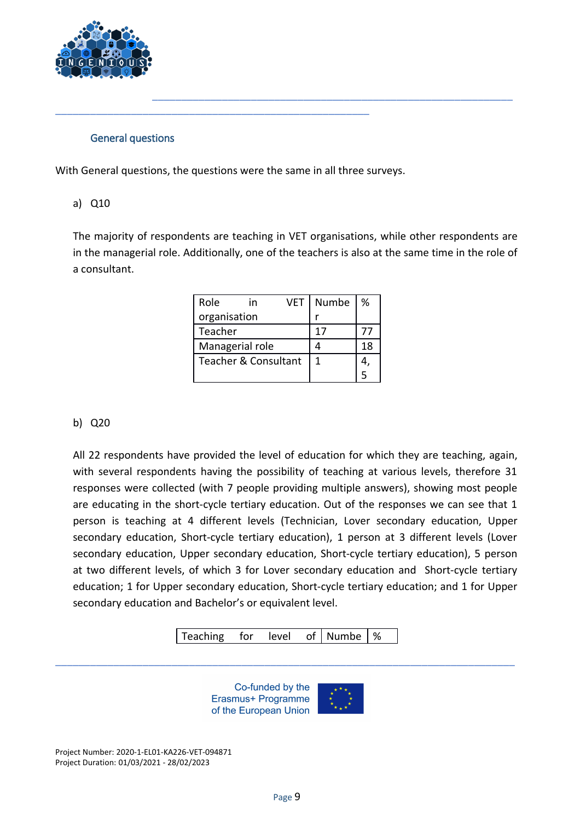

#### General questions

With General questions, the questions were the same in all three surveys.

\_\_\_\_\_\_\_\_\_\_\_\_\_\_\_\_\_\_\_\_\_\_\_\_\_\_\_\_\_\_\_\_\_\_\_\_\_\_\_\_\_\_\_\_\_\_\_\_\_\_\_\_\_\_

#### a) Q10

The majority of respondents are teaching in VET organisations, while other respondents are in the managerial role. Additionally, one of the teachers is also at the same time in the role of a consultant.

\_\_\_\_\_\_\_\_\_\_\_\_\_\_\_\_\_\_\_\_\_\_\_\_\_\_\_\_\_\_\_\_\_\_\_\_\_\_\_\_\_\_\_\_\_\_\_\_\_\_\_\_\_\_\_\_\_\_\_\_\_\_

| Role         | in                   | VET. | Numbe | %  |
|--------------|----------------------|------|-------|----|
| organisation |                      |      |       |    |
| Teacher      |                      |      | 17    | 77 |
|              | Managerial role      |      |       | 18 |
|              | Teacher & Consultant |      | 1     |    |
|              |                      |      |       |    |

## b) Q20

All 22 respondents have provided the level of education for which they are teaching, again, with several respondents having the possibility of teaching at various levels, therefore 31 responses were collected (with 7 people providing multiple answers), showing most people are educating in the short-cycle tertiary education. Out of the responses we can see that 1 person is teaching at 4 different levels (Technician, Lover secondary education, Upper secondary education, Short-cycle tertiary education), 1 person at 3 different levels (Lover secondary education, Upper secondary education, Short-cycle tertiary education), 5 person at two different levels, of which 3 for Lover secondary education and Short-cycle tertiary education; 1 for Upper secondary education, Short-cycle tertiary education; and 1 for Upper secondary education and Bachelor's or equivalent level.

Teaching for level of Numbe  $\frac{8}{3}$ 

\_\_\_\_\_\_\_\_\_\_\_\_\_\_\_\_\_\_\_\_\_\_\_\_\_\_\_\_\_\_\_\_\_\_\_\_\_\_\_\_\_\_\_\_\_\_\_\_\_\_\_\_\_\_\_\_\_\_\_\_\_\_\_\_\_\_\_\_\_\_\_\_\_\_\_\_\_\_\_

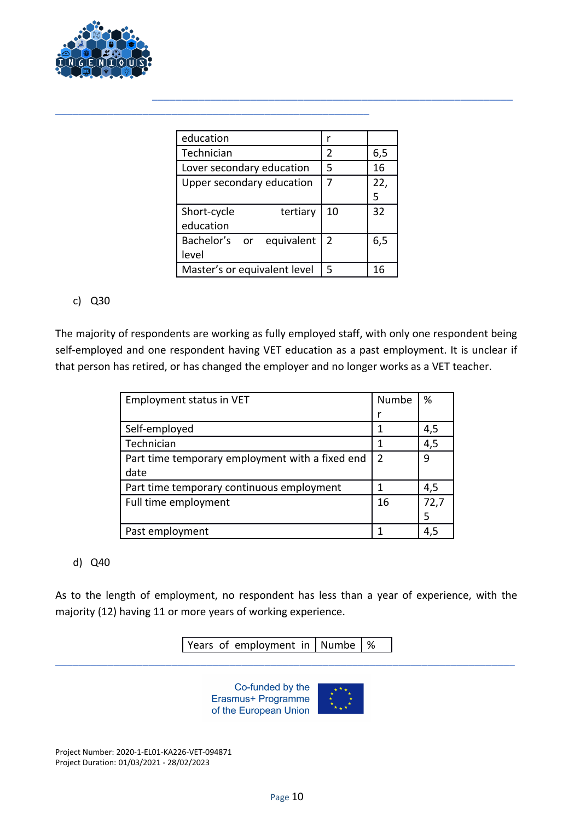

| education                    |                |     |
|------------------------------|----------------|-----|
| Technician                   | $\overline{2}$ | 6,5 |
| Lover secondary education    | 5              | 16  |
| Upper secondary education    | 7              | 22, |
|                              |                | 5   |
| Short-cycle<br>tertiary      | 10             | 32  |
| education                    |                |     |
| Bachelor's or equivalent     | 2              | 6,5 |
| level                        |                |     |
| Master's or equivalent level | 5              | 16  |

\_\_\_\_\_\_\_\_\_\_\_\_\_\_\_\_\_\_\_\_\_\_\_\_\_\_\_\_\_\_\_\_\_\_\_\_\_\_\_\_\_\_\_\_\_\_\_\_\_\_\_\_\_\_\_\_\_\_\_\_\_\_

## c) Q30

The majority of respondents are working as fully employed staff, with only one respondent being self-employed and one respondent having VET education as a past employment. It is unclear if that person has retired, or has changed the employer and no longer works as a VET teacher.

| Employment status in VET                        | Numbe | ℅    |
|-------------------------------------------------|-------|------|
|                                                 |       |      |
| Self-employed                                   |       | 4,5  |
| Technician                                      | 1     | 4,5  |
| Part time temporary employment with a fixed end | 2     | 9    |
| date                                            |       |      |
| Part time temporary continuous employment       | 1     | 4,5  |
| Full time employment                            | 16    | 72,7 |
|                                                 |       | 5    |
| Past employment                                 |       | 4,5  |

#### d) Q40

As to the length of employment, no respondent has less than a year of experience, with the majority (12) having 11 or more years of working experience.

Years of employment in | Numbe  $\frac{1}{6}$  % \_\_\_\_\_\_\_\_\_\_\_\_\_\_\_\_\_\_\_\_\_\_\_\_\_\_\_\_\_\_\_\_\_\_\_\_\_\_\_\_\_\_\_\_\_\_\_\_\_\_\_\_\_\_\_\_\_\_\_\_\_\_\_\_\_\_\_\_\_\_\_\_\_\_\_\_\_\_\_

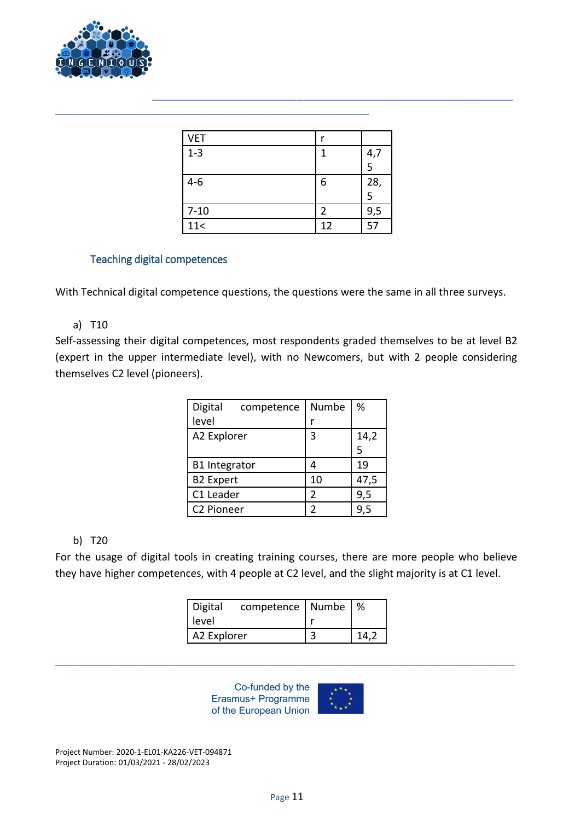

| <b>VET</b> |                |          |
|------------|----------------|----------|
| $1 - 3$    | 1              | 4,7      |
|            |                | 5        |
| $4 - 6$    | 6              | 28,<br>5 |
|            |                |          |
| $7 - 10$   | $\overline{2}$ | 9,5      |
| 11<        | 12             | 57       |

#### Teaching digital competences

\_\_\_\_\_\_\_\_\_\_\_\_\_\_\_\_\_\_\_\_\_\_\_\_\_\_\_\_\_\_\_\_\_\_\_\_\_\_\_\_\_\_\_\_\_\_\_\_\_\_\_\_\_\_

With Technical digital competence questions, the questions were the same in all three surveys.

## a) T10

Self-assessing their digital competences, most respondents graded themselves to be at level B2 (expert in the upper intermediate level), with no Newcomers, but with 2 people considering themselves C2 level (pioneers).

| Digital<br>competence  | Numbe | %    |
|------------------------|-------|------|
| level                  |       |      |
| A2 Explorer            | 3     | 14,2 |
|                        |       | 5    |
| <b>B1</b> Integrator   |       | 19   |
| <b>B2 Expert</b>       | 10    | 47,5 |
| C1 Leader              | 2     | 9,5  |
| C <sub>2</sub> Pioneer |       | 9 5  |

#### b) T20

For the usage of digital tools in creating training courses, there are more people who believe they have higher competences, with 4 people at C2 level, and the slight majority is at C1 level.

| Digital     | competence   Numbe   % |  |
|-------------|------------------------|--|
| level       |                        |  |
| A2 Explorer |                        |  |

\_\_\_\_\_\_\_\_\_\_\_\_\_\_\_\_\_\_\_\_\_\_\_\_\_\_\_\_\_\_\_\_\_\_\_\_\_\_\_\_\_\_\_\_\_\_\_\_\_\_\_\_\_\_\_\_\_\_\_\_\_\_\_\_\_\_\_\_\_\_\_\_\_\_\_\_\_\_\_

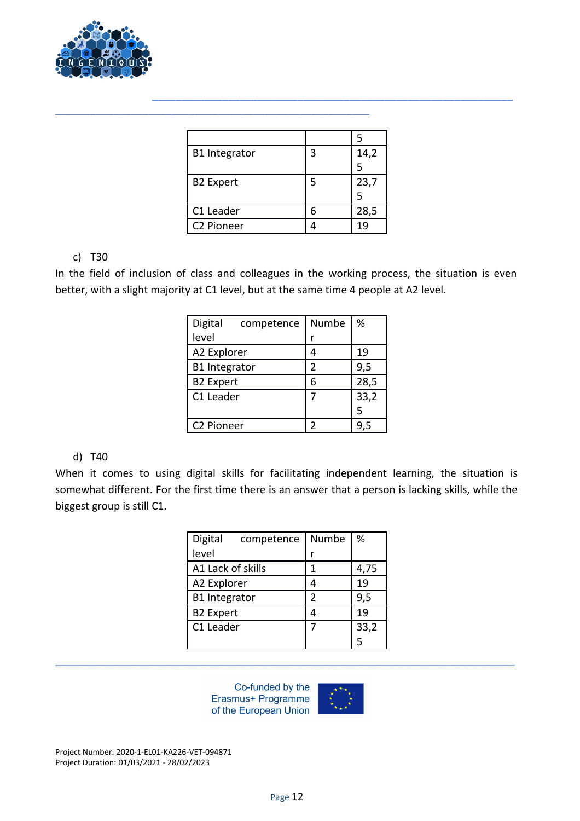

|                        |   | 5    |
|------------------------|---|------|
| <b>B1 Integrator</b>   | 3 | 14,2 |
|                        |   | 5    |
| <b>B2 Expert</b>       | 5 | 23,7 |
|                        |   | 5    |
| C1 Leader              | հ | 28,5 |
| C <sub>2</sub> Pioneer |   | 19   |

\_\_\_\_\_\_\_\_\_\_\_\_\_\_\_\_\_\_\_\_\_\_\_\_\_\_\_\_\_\_\_\_\_\_\_\_\_\_\_\_\_\_\_\_\_\_\_\_\_\_\_\_\_\_\_\_\_\_\_\_\_\_

## c) T30

In the field of inclusion of class and colleagues in the working process, the situation is even better, with a slight majority at C1 level, but at the same time 4 people at A2 level.

| Digital<br>competence  | Numbe | %    |
|------------------------|-------|------|
| level                  |       |      |
| A2 Explorer            |       | 19   |
| <b>B1</b> Integrator   | 2     | 9,5  |
| <b>B2 Expert</b>       | 6     | 28,5 |
| C1 Leader              |       | 33,2 |
|                        |       | 5    |
| C <sub>2</sub> Pioneer |       |      |

## d) T40

When it comes to using digital skills for facilitating independent learning, the situation is somewhat different. For the first time there is an answer that a person is lacking skills, while the biggest group is still C1.

| Digital<br>competence | Numbe | %    |
|-----------------------|-------|------|
| level                 |       |      |
| A1 Lack of skills     |       | 4,75 |
| A2 Explorer           |       | 19   |
| <b>B1</b> Integrator  | 2     | 9,5  |
| <b>B2 Expert</b>      |       | 19   |
| C1 Leader             |       | 33,2 |
|                       |       |      |

\_\_\_\_\_\_\_\_\_\_\_\_\_\_\_\_\_\_\_\_\_\_\_\_\_\_\_\_\_\_\_\_\_\_\_\_\_\_\_\_\_\_\_\_\_\_\_\_\_\_\_\_\_\_\_\_\_\_\_\_\_\_\_\_\_\_\_\_\_\_\_\_\_\_\_\_\_\_\_

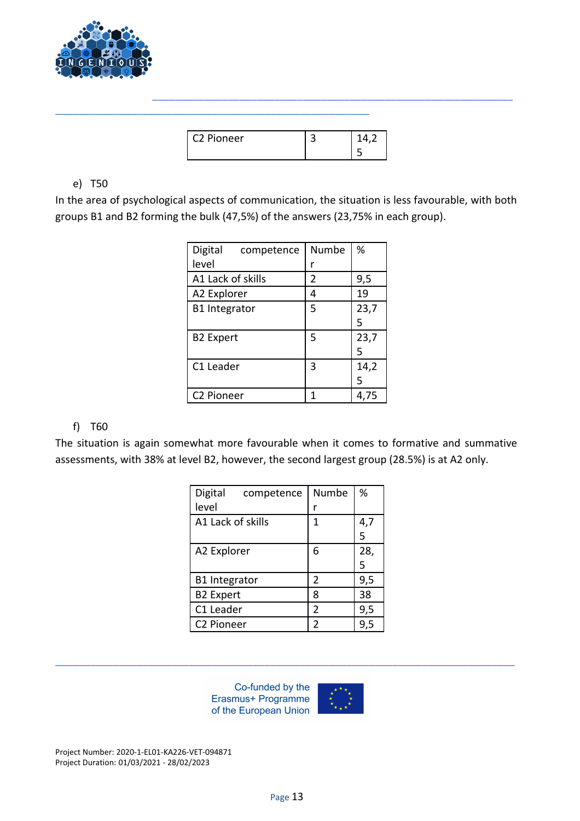

| C2 Pioneer |  |
|------------|--|
|            |  |

\_\_\_\_\_\_\_\_\_\_\_\_\_\_\_\_\_\_\_\_\_\_\_\_\_\_\_\_\_\_\_\_\_\_\_\_\_\_\_\_\_\_\_\_\_\_\_\_\_\_\_\_\_\_\_\_\_\_\_\_\_\_

#### e) T50

In the area of psychological aspects of communication, the situation is less favourable, with both groups B1 and B2 forming the bulk (47,5%) of the answers (23,75% in each group).

| Digital<br>competence  | Numbe | %            |
|------------------------|-------|--------------|
| level                  |       |              |
| A1 Lack of skills      | 2     | 9,5          |
| A2 Explorer            | 4     | 19           |
| <b>B1</b> Integrator   | 5     | 23,7         |
|                        |       | 5            |
| <b>B2 Expert</b>       | 5     | 23,7         |
|                        |       | 5            |
| C1 Leader              | 3     | 14,2         |
|                        |       | 5            |
| C <sub>2</sub> Pioneer | 1     | $\mathbf{4}$ |

## f) T60

The situation is again somewhat more favourable when it comes to formative and summative assessments, with 38% at level B2, however, the second largest group (28.5%) is at A2 only.

| Digital<br>competence  | Numbe          | %   |
|------------------------|----------------|-----|
| level                  |                |     |
| A1 Lack of skills      | 1              | 4,7 |
|                        |                | 5   |
| A2 Explorer            | 6              | 28, |
|                        |                | 5   |
| <b>B1</b> Integrator   | 2              | 9,5 |
| <b>B2 Expert</b>       | 8              | 38  |
| C1 Leader              | $\overline{2}$ | 9,5 |
| C <sub>2</sub> Pioneer | 2              | 9.5 |

\_\_\_\_\_\_\_\_\_\_\_\_\_\_\_\_\_\_\_\_\_\_\_\_\_\_\_\_\_\_\_\_\_\_\_\_\_\_\_\_\_\_\_\_\_\_\_\_\_\_\_\_\_\_\_\_\_\_\_\_\_\_\_\_\_\_\_\_\_\_\_\_\_\_\_\_\_\_\_

Co-funded by the Erasmus+ Programme of the European Union

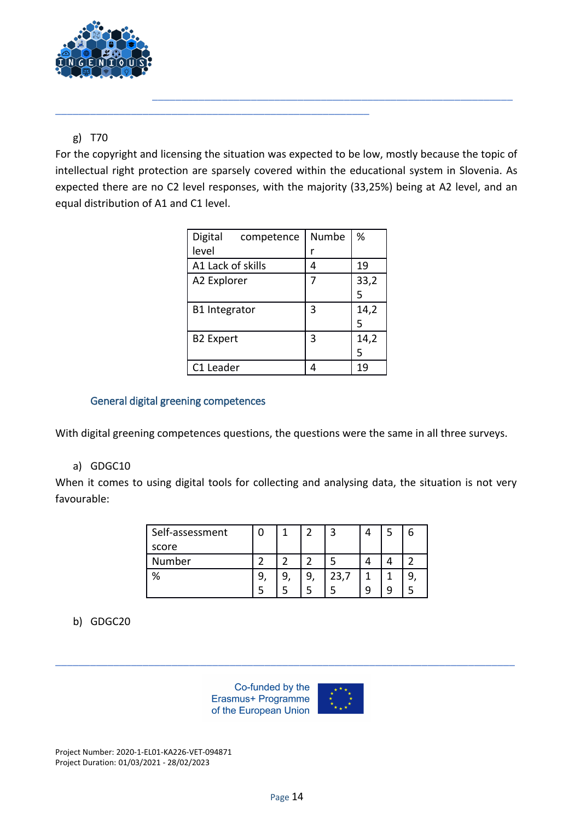

## g) T70

For the copyright and licensing the situation was expected to be low, mostly because the topic of intellectual right protection are sparsely covered within the educational system in Slovenia. As expected there are no C2 level responses, with the majority (33,25%) being at A2 level, and an equal distribution of A1 and C1 level.

\_\_\_\_\_\_\_\_\_\_\_\_\_\_\_\_\_\_\_\_\_\_\_\_\_\_\_\_\_\_\_\_\_\_\_\_\_\_\_\_\_\_\_\_\_\_\_\_\_\_\_\_\_\_

\_\_\_\_\_\_\_\_\_\_\_\_\_\_\_\_\_\_\_\_\_\_\_\_\_\_\_\_\_\_\_\_\_\_\_\_\_\_\_\_\_\_\_\_\_\_\_\_\_\_\_\_\_\_\_\_\_\_\_\_\_\_

| Digital<br>competence | Numbe | %    |
|-----------------------|-------|------|
| level                 |       |      |
| A1 Lack of skills     |       | 19   |
| A2 Explorer           |       | 33,2 |
|                       |       | 5    |
| <b>B1</b> Integrator  | 3     | 14,2 |
|                       |       | 5    |
| <b>B2 Expert</b>      | 3     | 14,2 |
|                       |       | 5    |
| C1 Leader             |       | 19   |

## General digital greening competences

With digital greening competences questions, the questions were the same in all three surveys.

## a) GDGC10

When it comes to using digital tools for collecting and analysing data, the situation is not very favourable:

| Self-assessment |   |   |      |   |   | ь |
|-----------------|---|---|------|---|---|---|
| score           |   |   |      |   |   |   |
| Number          |   |   |      |   |   |   |
| %               | 9 | o | 23,7 |   |   |   |
|                 |   |   |      | 9 | a |   |

\_\_\_\_\_\_\_\_\_\_\_\_\_\_\_\_\_\_\_\_\_\_\_\_\_\_\_\_\_\_\_\_\_\_\_\_\_\_\_\_\_\_\_\_\_\_\_\_\_\_\_\_\_\_\_\_\_\_\_\_\_\_\_\_\_\_\_\_\_\_\_\_\_\_\_\_\_\_\_

## b) GDGC20

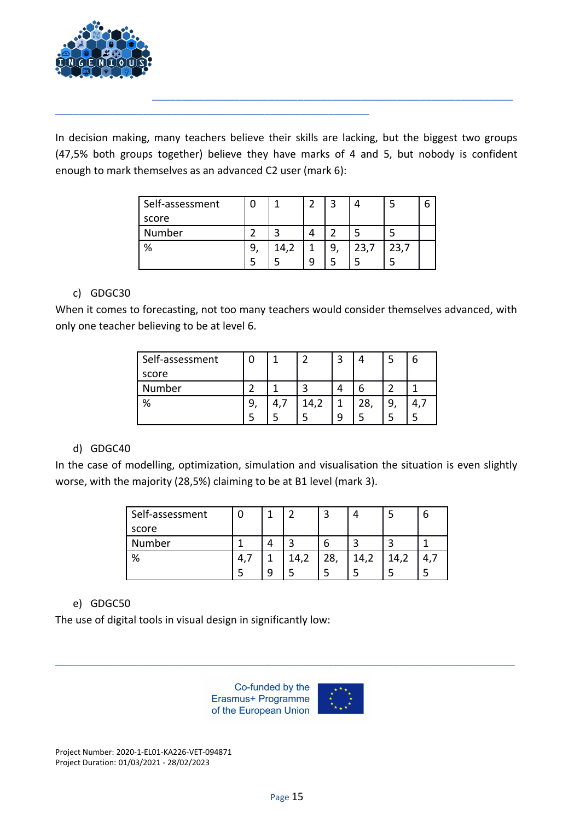

In decision making, many teachers believe their skills are lacking, but the biggest two groups (47,5% both groups together) believe they have marks of 4 and 5, but nobody is confident enough to mark themselves as an advanced C2 user (mark 6):

\_\_\_\_\_\_\_\_\_\_\_\_\_\_\_\_\_\_\_\_\_\_\_\_\_\_\_\_\_\_\_\_\_\_\_\_\_\_\_\_\_\_\_\_\_\_\_\_\_\_\_\_\_\_

\_\_\_\_\_\_\_\_\_\_\_\_\_\_\_\_\_\_\_\_\_\_\_\_\_\_\_\_\_\_\_\_\_\_\_\_\_\_\_\_\_\_\_\_\_\_\_\_\_\_\_\_\_\_\_\_\_\_\_\_\_\_

| Self-assessment |      | 3 |      |      | 6 |
|-----------------|------|---|------|------|---|
| score           |      |   |      |      |   |
| Number          |      |   |      |      |   |
| %               | 14.2 | 9 | 23,7 | 23,7 |   |
|                 |      |   |      |      |   |

#### c) GDGC30

When it comes to forecasting, not too many teachers would consider themselves advanced, with only one teacher believing to be at level 6.

| Self-assessment |    |      | 3 |     |  |
|-----------------|----|------|---|-----|--|
| score           |    |      |   |     |  |
| Number          |    |      |   |     |  |
| %               | 9, | 14,2 |   | 28, |  |
|                 |    |      | ٩ |     |  |

## d) GDGC40

In the case of modelling, optimization, simulation and visualisation the situation is even slightly worse, with the majority (28,5%) claiming to be at B1 level (mark 3).

| Self-assessment |  |      | ີ   |      |      |  |
|-----------------|--|------|-----|------|------|--|
| score           |  |      |     |      |      |  |
| Number          |  |      | о   |      |      |  |
| %               |  | 14,2 | 28, | 14,2 | 14,2 |  |
|                 |  |      |     |      |      |  |

\_\_\_\_\_\_\_\_\_\_\_\_\_\_\_\_\_\_\_\_\_\_\_\_\_\_\_\_\_\_\_\_\_\_\_\_\_\_\_\_\_\_\_\_\_\_\_\_\_\_\_\_\_\_\_\_\_\_\_\_\_\_\_\_\_\_\_\_\_\_\_\_\_\_\_\_\_\_\_

#### e) GDGC50

The use of digital tools in visual design in significantly low:

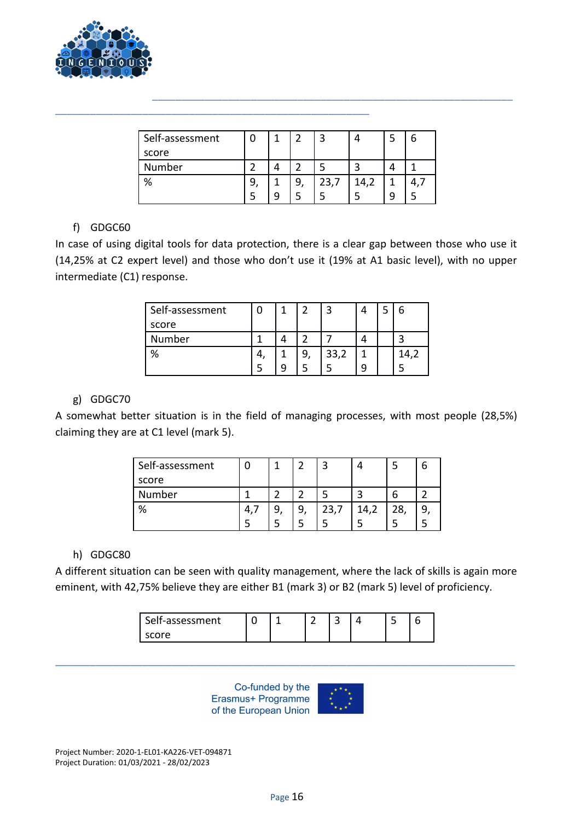

| Self-assessment<br>score |   |   |    |      |      |  |
|--------------------------|---|---|----|------|------|--|
| Number                   |   |   |    |      |      |  |
| %                        | 9 |   | 9, | 23,7 | 14,2 |  |
|                          |   | a |    |      |      |  |

\_\_\_\_\_\_\_\_\_\_\_\_\_\_\_\_\_\_\_\_\_\_\_\_\_\_\_\_\_\_\_\_\_\_\_\_\_\_\_\_\_\_\_\_\_\_\_\_\_\_\_\_\_\_\_\_\_\_\_\_\_\_

## f) GDGC60

In case of using digital tools for data protection, there is a clear gap between those who use it (14,25% at C2 expert level) and those who don't use it (19% at A1 basic level), with no upper intermediate (C1) response.

| Self-assessment |   |    | 3    |  |      |
|-----------------|---|----|------|--|------|
| score           |   |    |      |  |      |
| Number          |   |    |      |  |      |
| %               |   | 9, | 33,2 |  | 14,2 |
|                 | q |    |      |  |      |

## g) GDGC70

A somewhat better situation is in the field of managing processes, with most people (28,5%) claiming they are at C1 level (mark 5).

| Self-assessment |    | ◠  |      |      |    | h |
|-----------------|----|----|------|------|----|---|
| score           |    |    |      |      |    |   |
| Number          |    |    |      |      | n  |   |
| %               | ., | 9, | 23,7 | 14,2 | 28 |   |
|                 |    | ┍  |      |      |    |   |

## h) GDGC80

A different situation can be seen with quality management, where the lack of skills is again more eminent, with 42,75% believe they are either B1 (mark 3) or B2 (mark 5) level of proficiency.

| lf-assessment |  | ∽ | ∽<br>ــ |  |  |
|---------------|--|---|---------|--|--|
| ∩ר∩           |  |   |         |  |  |

\_\_\_\_\_\_\_\_\_\_\_\_\_\_\_\_\_\_\_\_\_\_\_\_\_\_\_\_\_\_\_\_\_\_\_\_\_\_\_\_\_\_\_\_\_\_\_\_\_\_\_\_\_\_\_\_\_\_\_\_\_\_\_\_\_\_\_\_\_\_\_\_\_\_\_\_\_\_\_

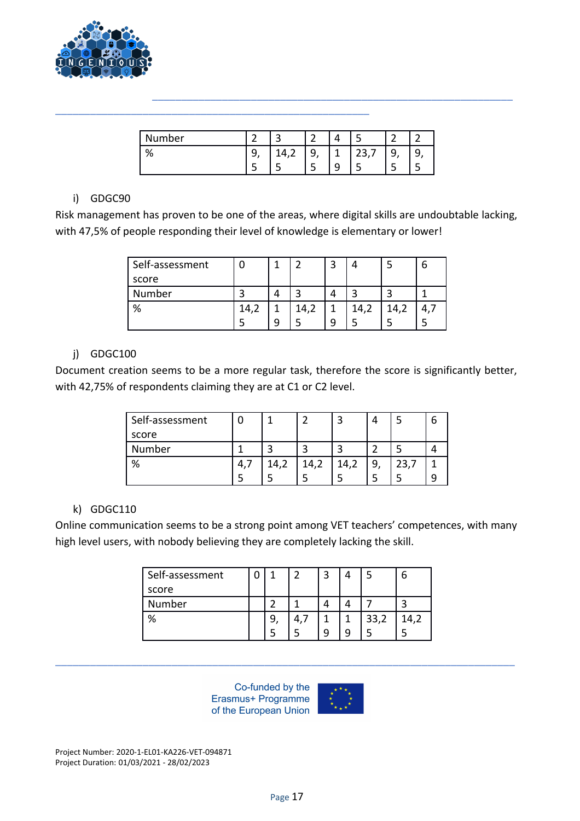

| Number | - | ∽ |   |            | ∽ | ∽ |
|--------|---|---|---|------------|---|---|
| %      |   | a | л | ∽<br>، ، ب |   |   |
|        | س |   | a |            | - | - |

\_\_\_\_\_\_\_\_\_\_\_\_\_\_\_\_\_\_\_\_\_\_\_\_\_\_\_\_\_\_\_\_\_\_\_\_\_\_\_\_\_\_\_\_\_\_\_\_\_\_\_\_\_\_\_\_\_\_\_\_\_\_

#### i) GDGC90

Risk management has proven to be one of the areas, where digital skills are undoubtable lacking, with 47,5% of people responding their level of knowledge is elementary or lower!

| Self-assessment |      |   |      | ີ |      |      |  |
|-----------------|------|---|------|---|------|------|--|
| score           |      |   |      |   |      |      |  |
| Number          |      |   |      |   |      |      |  |
| %               | 14.2 |   | 14,2 | ◢ | 14,2 | 14,2 |  |
|                 |      | a |      | q |      |      |  |

#### j) GDGC100

Document creation seems to be a more regular task, therefore the score is significantly better, with 42,75% of respondents claiming they are at C1 or C2 level.

| Self-assessment |      |      |      |    |      |  |
|-----------------|------|------|------|----|------|--|
| score           |      |      |      |    |      |  |
| Number          |      |      |      |    |      |  |
| %               | 14,2 | 14,2 | 14,2 | 9, | 23,7 |  |
|                 |      |      |      |    |      |  |

#### k) GDGC110

Online communication seems to be a strong point among VET teachers' competences, with many high level users, with nobody believing they are completely lacking the skill.

| Self-assessment |    |    | າ |      |      |
|-----------------|----|----|---|------|------|
| score           |    |    |   |      |      |
| Number          |    |    |   |      |      |
| %               | 9, | 4, |   | 33,2 | 14 J |
|                 |    |    |   |      |      |

\_\_\_\_\_\_\_\_\_\_\_\_\_\_\_\_\_\_\_\_\_\_\_\_\_\_\_\_\_\_\_\_\_\_\_\_\_\_\_\_\_\_\_\_\_\_\_\_\_\_\_\_\_\_\_\_\_\_\_\_\_\_\_\_\_\_\_\_\_\_\_\_\_\_\_\_\_\_\_

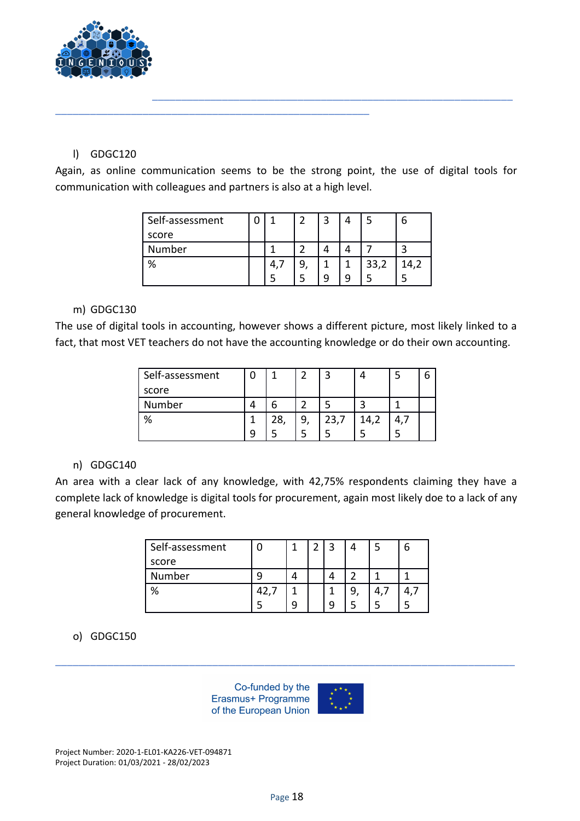

## l) GDGC120

Again, as online communication seems to be the strong point, the use of digital tools for communication with colleagues and partners is also at a high level.

\_\_\_\_\_\_\_\_\_\_\_\_\_\_\_\_\_\_\_\_\_\_\_\_\_\_\_\_\_\_\_\_\_\_\_\_\_\_\_\_\_\_\_\_\_\_\_\_\_\_\_\_\_\_

\_\_\_\_\_\_\_\_\_\_\_\_\_\_\_\_\_\_\_\_\_\_\_\_\_\_\_\_\_\_\_\_\_\_\_\_\_\_\_\_\_\_\_\_\_\_\_\_\_\_\_\_\_\_\_\_\_\_\_\_\_\_

| Self-assessment |  |  |   |      |                 |
|-----------------|--|--|---|------|-----------------|
| score           |  |  |   |      |                 |
| Number          |  |  |   |      |                 |
| %               |  |  |   | 33,2 | 14 <sup>°</sup> |
|                 |  |  | о |      |                 |

## m) GDGC130

The use of digital tools in accounting, however shows a different picture, most likely linked to a fact, that most VET teachers do not have the accounting knowledge or do their own accounting.

| Self-assessment |   |    |      |      | հ |
|-----------------|---|----|------|------|---|
| score           |   |    |      |      |   |
| Number          |   |    |      |      |   |
| %               |   | 28 | 23,7 | 14,2 |   |
|                 | q |    |      |      |   |

## n) GDGC140

An area with a clear lack of any knowledge, with 42,75% respondents claiming they have a complete lack of knowledge is digital tools for procurement, again most likely doe to a lack of any general knowledge of procurement.

| Self-assessment |  | ◠ | ာ |   | כ | ь |
|-----------------|--|---|---|---|---|---|
| score           |  |   |   |   |   |   |
| Number          |  |   |   |   |   |   |
| %               |  |   |   | a |   |   |
|                 |  |   |   |   |   |   |

\_\_\_\_\_\_\_\_\_\_\_\_\_\_\_\_\_\_\_\_\_\_\_\_\_\_\_\_\_\_\_\_\_\_\_\_\_\_\_\_\_\_\_\_\_\_\_\_\_\_\_\_\_\_\_\_\_\_\_\_\_\_\_\_\_\_\_\_\_\_\_\_\_\_\_\_\_\_\_

## o) GDGC150

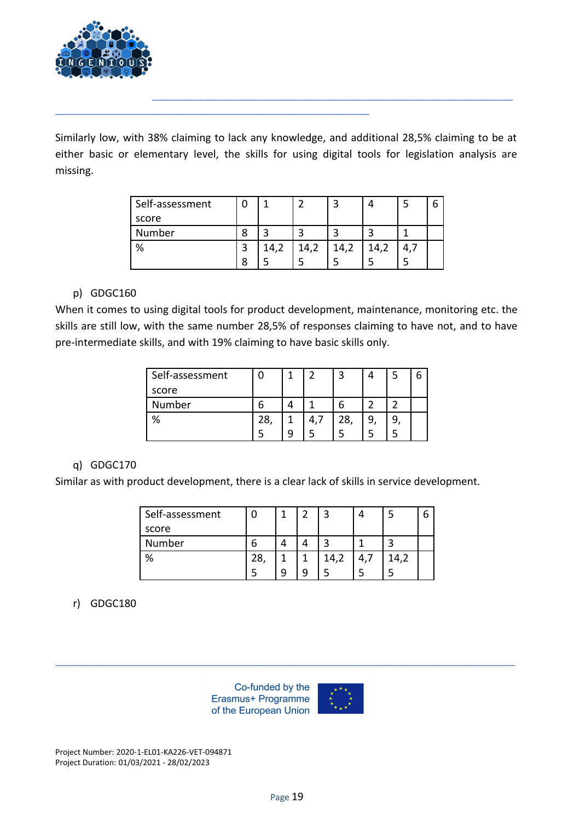

Similarly low, with 38% claiming to lack any knowledge, and additional 28,5% claiming to be at either basic or elementary level, the skills for using digital tools for legislation analysis are missing.

\_\_\_\_\_\_\_\_\_\_\_\_\_\_\_\_\_\_\_\_\_\_\_\_\_\_\_\_\_\_\_\_\_\_\_\_\_\_\_\_\_\_\_\_\_\_\_\_\_\_\_\_\_\_

\_\_\_\_\_\_\_\_\_\_\_\_\_\_\_\_\_\_\_\_\_\_\_\_\_\_\_\_\_\_\_\_\_\_\_\_\_\_\_\_\_\_\_\_\_\_\_\_\_\_\_\_\_\_\_\_\_\_\_\_\_\_

| Self-assessment |   |      |      | ◠    |      | 6 |
|-----------------|---|------|------|------|------|---|
| score           |   |      |      |      |      |   |
| Number          | Ο |      |      |      |      |   |
| %               | ◠ | 14,2 | 14,2 | 14,2 | 14,2 |   |
|                 | 8 |      |      |      |      |   |

## p) GDGC160

When it comes to using digital tools for product development, maintenance, monitoring etc. the skills are still low, with the same number 28,5% of responses claiming to have not, and to have pre-intermediate skills, and with 19% claiming to have basic skills only.

| Self-assessment |    |  |     |  | n |
|-----------------|----|--|-----|--|---|
| score           |    |  |     |  |   |
| Number          | п  |  | n   |  |   |
| %               | 28 |  | 28, |  |   |
|                 |    |  |     |  |   |

## q) GDGC170

Similar as with product development, there is a clear lack of skills in service development.

| Self-assessment |    |   |      |      | 6 |
|-----------------|----|---|------|------|---|
| score           |    |   |      |      |   |
| Number          | n  |   |      |      |   |
| %               | 28 |   | 14,2 | 14,2 |   |
|                 |    | a |      |      |   |

\_\_\_\_\_\_\_\_\_\_\_\_\_\_\_\_\_\_\_\_\_\_\_\_\_\_\_\_\_\_\_\_\_\_\_\_\_\_\_\_\_\_\_\_\_\_\_\_\_\_\_\_\_\_\_\_\_\_\_\_\_\_\_\_\_\_\_\_\_\_\_\_\_\_\_\_\_\_\_

## r) GDGC180

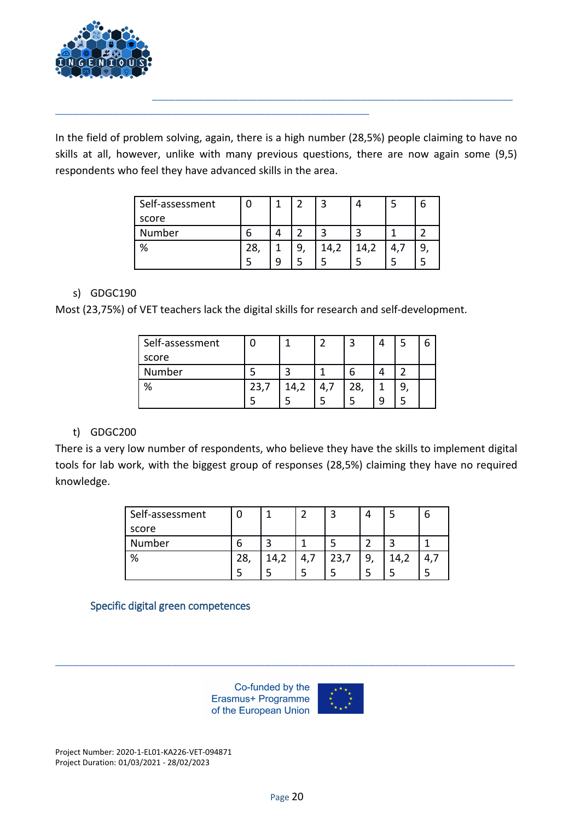

In the field of problem solving, again, there is a high number (28,5%) people claiming to have no skills at all, however, unlike with many previous questions, there are now again some (9,5) respondents who feel they have advanced skills in the area.

\_\_\_\_\_\_\_\_\_\_\_\_\_\_\_\_\_\_\_\_\_\_\_\_\_\_\_\_\_\_\_\_\_\_\_\_\_\_\_\_\_\_\_\_\_\_\_\_\_\_\_\_\_\_

\_\_\_\_\_\_\_\_\_\_\_\_\_\_\_\_\_\_\_\_\_\_\_\_\_\_\_\_\_\_\_\_\_\_\_\_\_\_\_\_\_\_\_\_\_\_\_\_\_\_\_\_\_\_\_\_\_\_\_\_\_\_

| Self-assessment |   | ◠ | 3    |      |  |
|-----------------|---|---|------|------|--|
| score           |   |   |      |      |  |
| Number          | n |   |      |      |  |
| %               |   | 9 | 14,2 | 14,2 |  |
|                 |   | ┍ |      |      |  |

#### s) GDGC190

Most (23,75%) of VET teachers lack the digital skills for research and self-development.

| Self-assessment |     |      |     |     |   | 6 |
|-----------------|-----|------|-----|-----|---|---|
| score           |     |      |     |     |   |   |
| Number          |     |      |     |     |   |   |
| %               | 23, | 14,2 | 4,, | 28, | и |   |
|                 |     |      |     |     | c |   |

#### t) GDGC200

There is a very low number of respondents, who believe they have the skills to implement digital tools for lab work, with the biggest group of responses (28,5%) claiming they have no required knowledge.

| Self-assessment |    |      |      |    |      | n |
|-----------------|----|------|------|----|------|---|
| score           |    |      |      |    |      |   |
| Number          | o  |      |      |    |      |   |
| %               | 28 | 14,2 | 23,7 | 9, | 14,2 |   |
|                 |    |      |      |    |      |   |

\_\_\_\_\_\_\_\_\_\_\_\_\_\_\_\_\_\_\_\_\_\_\_\_\_\_\_\_\_\_\_\_\_\_\_\_\_\_\_\_\_\_\_\_\_\_\_\_\_\_\_\_\_\_\_\_\_\_\_\_\_\_\_\_\_\_\_\_\_\_\_\_\_\_\_\_\_\_\_

Specific digital green competences

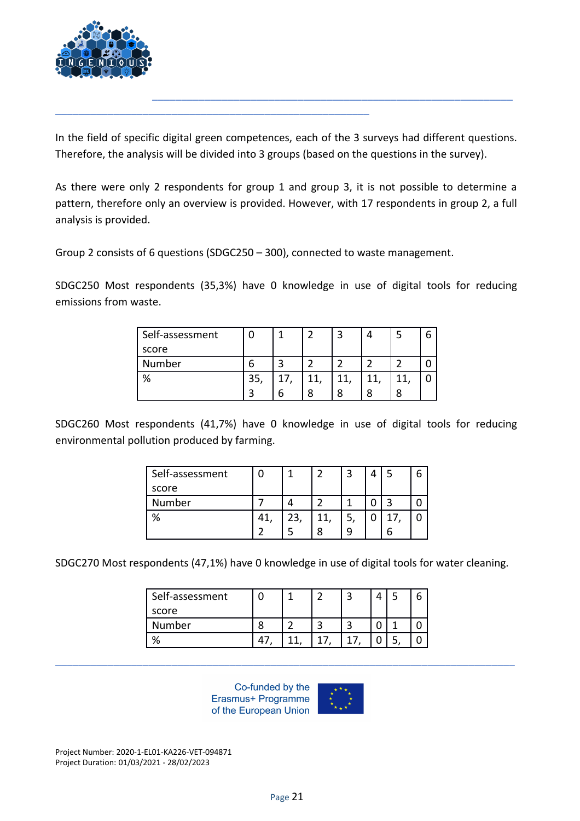

In the field of specific digital green competences, each of the 3 surveys had different questions. Therefore, the analysis will be divided into 3 groups (based on the questions in the survey).

\_\_\_\_\_\_\_\_\_\_\_\_\_\_\_\_\_\_\_\_\_\_\_\_\_\_\_\_\_\_\_\_\_\_\_\_\_\_\_\_\_\_\_\_\_\_\_\_\_\_\_\_\_\_\_\_\_\_\_\_\_\_

As there were only 2 respondents for group 1 and group 3, it is not possible to determine a pattern, therefore only an overview is provided. However, with 17 respondents in group 2, a full analysis is provided.

Group 2 consists of 6 questions (SDGC250 – 300), connected to waste management.

\_\_\_\_\_\_\_\_\_\_\_\_\_\_\_\_\_\_\_\_\_\_\_\_\_\_\_\_\_\_\_\_\_\_\_\_\_\_\_\_\_\_\_\_\_\_\_\_\_\_\_\_\_\_

SDGC250 Most respondents (35,3%) have 0 knowledge in use of digital tools for reducing emissions from waste.

| Self-assessment |     |    |   |   |    |   | 6 |
|-----------------|-----|----|---|---|----|---|---|
| score           |     |    |   |   |    |   |   |
| Number          | n   |    |   |   |    |   |   |
| %               | 35, | 17 |   |   | 11 |   |   |
|                 |     | n  | o | 8 | ጸ  | 8 |   |

SDGC260 Most respondents (41,7%) have 0 knowledge in use of digital tools for reducing environmental pollution produced by farming.

| Self-assessment |           |    |  |   |  |
|-----------------|-----------|----|--|---|--|
| score           |           |    |  |   |  |
| Number          |           |    |  |   |  |
| %               | つつ<br>، ت | 11 |  |   |  |
|                 |           |    |  | n |  |

SDGC270 Most respondents (47,1%) have 0 knowledge in use of digital tools for water cleaning.

| Self-assessment |  |  |  |  |
|-----------------|--|--|--|--|
| score           |  |  |  |  |
| Number          |  |  |  |  |
| %               |  |  |  |  |

\_\_\_\_\_\_\_\_\_\_\_\_\_\_\_\_\_\_\_\_\_\_\_\_\_\_\_\_\_\_\_\_\_\_\_\_\_\_\_\_\_\_\_\_\_\_\_\_\_\_\_\_\_\_\_\_\_\_\_\_\_\_\_\_\_\_\_\_\_\_\_\_\_\_\_\_\_\_\_

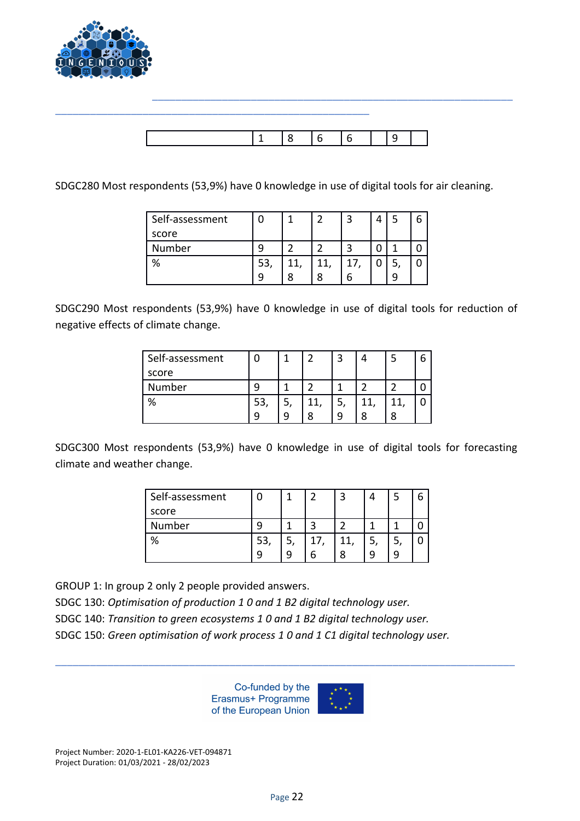



SDGC280 Most respondents (53,9%) have 0 knowledge in use of digital tools for air cleaning.

\_\_\_\_\_\_\_\_\_\_\_\_\_\_\_\_\_\_\_\_\_\_\_\_\_\_\_\_\_\_\_\_\_\_\_\_\_\_\_\_\_\_\_\_\_\_\_\_\_\_\_\_\_\_

| Self-assessment |     |    |    |    |  | 6 |
|-----------------|-----|----|----|----|--|---|
| score           |     |    |    |    |  |   |
| Number          |     |    |    |    |  |   |
| %               | 53, | 11 | 11 | 17 |  |   |
|                 | q   | 8  |    | n  |  |   |

SDGC290 Most respondents (53,9%) have 0 knowledge in use of digital tools for reduction of negative effects of climate change.

| Self-assessment |    |   |   | э<br>ب |     |   | 6 |
|-----------------|----|---|---|--------|-----|---|---|
| score           |    |   |   |        |     |   |   |
| Number          |    |   |   |        |     |   |   |
| %               | 53 |   |   |        | 11. |   |   |
|                 |    | q | Q | a      | Ω   | 8 |   |

SDGC300 Most respondents (53,9%) have 0 knowledge in use of digital tools for forecasting climate and weather change.

| Self-assessment |    |    |    |  | n |
|-----------------|----|----|----|--|---|
| score           |    |    |    |  |   |
| Number          |    |    |    |  |   |
| %               | 53 | 17 | 11 |  |   |
|                 |    | h  |    |  |   |

GROUP 1: In group 2 only 2 people provided answers. SDGC 130: *Optimisation of production 1 0 and 1 B2 digital technology user.* SDGC 140: *Transition to green ecosystems 1 0 and 1 B2 digital technology user.*

SDGC 150: *Green optimisation of work process 1 0 and 1 C1 digital technology user.*

Co-funded by the Erasmus+ Programme of the European Union



Project Number: 2020-1-EL01-KA226-VET-094871 Project Duration: 01/03/2021 - 28/02/2023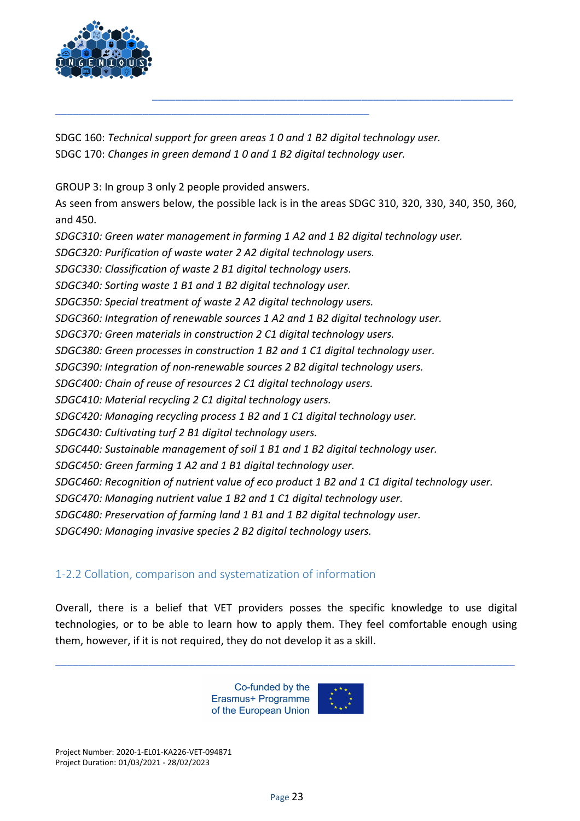

SDGC 160: *Technical support for green areas 1 0 and 1 B2 digital technology user.* SDGC 170: *Changes in green demand 1 0 and 1 B2 digital technology user.*

GROUP 3: In group 3 only 2 people provided answers.

As seen from answers below, the possible lack is in the areas SDGC 310, 320, 330, 340, 350, 360, and 450.

\_\_\_\_\_\_\_\_\_\_\_\_\_\_\_\_\_\_\_\_\_\_\_\_\_\_\_\_\_\_\_\_\_\_\_\_\_\_\_\_\_\_\_\_\_\_\_\_\_\_\_\_\_\_\_\_\_\_\_\_\_\_

*SDGC310: Green water management in farming 1 A2 and 1 B2 digital technology user.*

*SDGC320: Purification of waste water 2 A2 digital technology users.*

\_\_\_\_\_\_\_\_\_\_\_\_\_\_\_\_\_\_\_\_\_\_\_\_\_\_\_\_\_\_\_\_\_\_\_\_\_\_\_\_\_\_\_\_\_\_\_\_\_\_\_\_\_\_

*SDGC330: Classification of waste 2 B1 digital technology users.*

*SDGC340: Sorting waste 1 B1 and 1 B2 digital technology user.*

*SDGC350: Special treatment of waste 2 A2 digital technology users.*

*SDGC360: Integration of renewable sources 1 A2 and 1 B2 digital technology user.*

*SDGC370: Green materials in construction 2 C1 digital technology users.*

*SDGC380: Green processes in construction 1 B2 and 1 C1 digital technology user.*

*SDGC390: Integration of non-renewable sources 2 B2 digital technology users.*

*SDGC400: Chain of reuse of resources 2 C1 digital technology users.*

*SDGC410: Material recycling 2 C1 digital technology users.*

*SDGC420: Managing recycling process 1 B2 and 1 C1 digital technology user.*

*SDGC430: Cultivating turf 2 B1 digital technology users.*

*SDGC440: Sustainable management of soil 1 B1 and 1 B2 digital technology user.*

*SDGC450: Green farming 1 A2 and 1 B1 digital technology user.*

*SDGC460: Recognition of nutrient value of eco product 1 B2 and 1 C1 digital technology user.*

*SDGC470: Managing nutrient value 1 B2 and 1 C1 digital technology user.*

*SDGC480: Preservation of farming land 1 B1 and 1 B2 digital technology user.*

*SDGC490: Managing invasive species 2 B2 digital technology users.*

## 1-2.2 Collation, comparison and systematization of information

Overall, there is a belief that VET providers posses the specific knowledge to use digital technologies, or to be able to learn how to apply them. They feel comfortable enough using them, however, if it is not required, they do not develop it as a skill.

\_\_\_\_\_\_\_\_\_\_\_\_\_\_\_\_\_\_\_\_\_\_\_\_\_\_\_\_\_\_\_\_\_\_\_\_\_\_\_\_\_\_\_\_\_\_\_\_\_\_\_\_\_\_\_\_\_\_\_\_\_\_\_\_\_\_\_\_\_\_\_\_\_\_\_\_\_\_\_

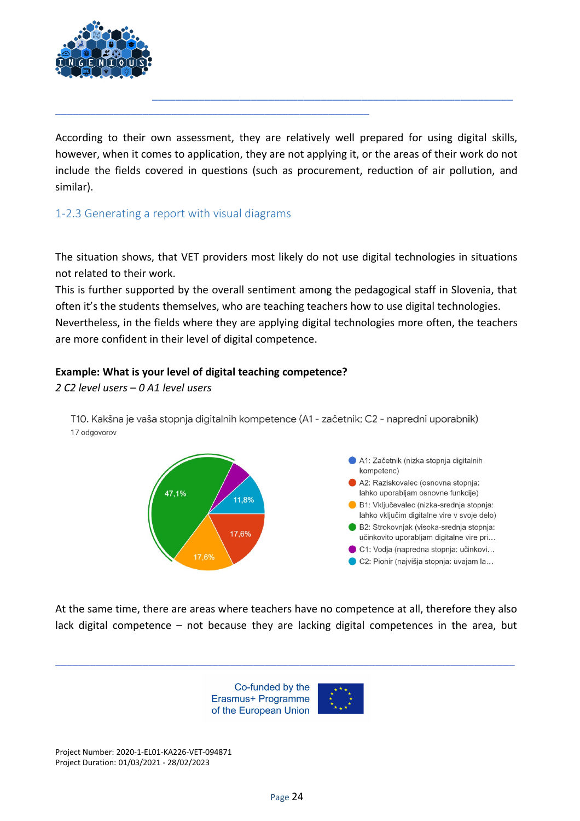

According to their own assessment, they are relatively well prepared for using digital skills, however, when it comes to application, they are not applying it, or the areas of their work do not include the fields covered in questions (such as procurement, reduction of air pollution, and similar).

\_\_\_\_\_\_\_\_\_\_\_\_\_\_\_\_\_\_\_\_\_\_\_\_\_\_\_\_\_\_\_\_\_\_\_\_\_\_\_\_\_\_\_\_\_\_\_\_\_\_\_\_\_\_\_\_\_\_\_\_\_\_

## 1-2.3 Generating a report with visual diagrams

\_\_\_\_\_\_\_\_\_\_\_\_\_\_\_\_\_\_\_\_\_\_\_\_\_\_\_\_\_\_\_\_\_\_\_\_\_\_\_\_\_\_\_\_\_\_\_\_\_\_\_\_\_\_

The situation shows, that VET providers most likely do not use digital technologies in situations not related to their work.

This is further supported by the overall sentiment among the pedagogical staff in Slovenia, that often it's the students themselves, who are teaching teachers how to use digital technologies. Nevertheless, in the fields where they are applying digital technologies more often, the teachers are more confident in their level of digital competence.

## **Example: What is your level of digital teaching competence?**

*2 C2 level users – 0 A1 level users*

T10. Kakšna je vaša stopnja digitalnih kompetence (A1 - začetnik; C2 - napredni uporabnik) 17 odgovorov



At the same time, there are areas where teachers have no competence at all, therefore they also lack digital competence – not because they are lacking digital competences in the area, but

\_\_\_\_\_\_\_\_\_\_\_\_\_\_\_\_\_\_\_\_\_\_\_\_\_\_\_\_\_\_\_\_\_\_\_\_\_\_\_\_\_\_\_\_\_\_\_\_\_\_\_\_\_\_\_\_\_\_\_\_\_\_\_\_\_\_\_\_\_\_\_\_\_\_\_\_\_\_\_

Co-funded by the Erasmus+ Programme of the European Union

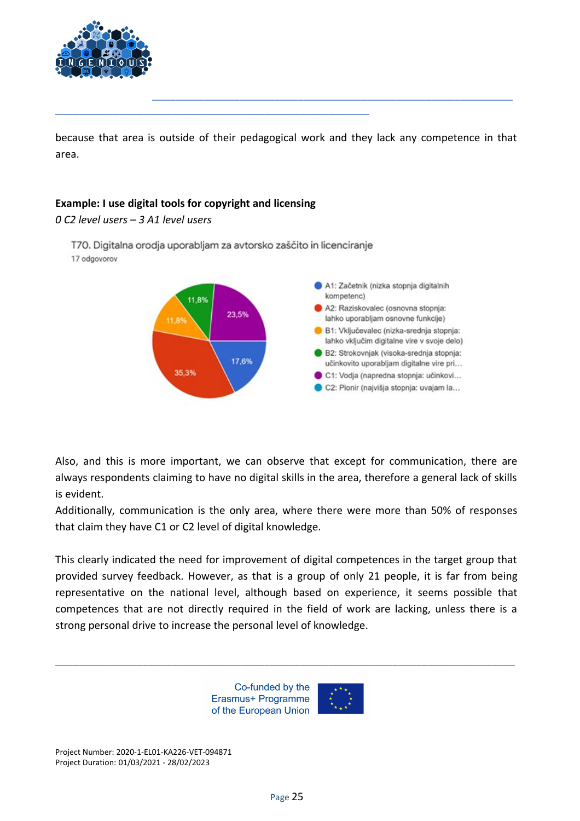

because that area is outside of their pedagogical work and they lack any competence in that area.

\_\_\_\_\_\_\_\_\_\_\_\_\_\_\_\_\_\_\_\_\_\_\_\_\_\_\_\_\_\_\_\_\_\_\_\_\_\_\_\_\_\_\_\_\_\_\_\_\_\_\_\_\_\_\_\_\_\_\_\_\_\_

## **Example: I use digital tools for copyright and licensing**

*0 C2 level users – 3 A1 level users*

A1: Začetnik (nizka stopnja digitalnih kompetenc) 11,8% A2: Raziskovalec (osnovna stopnja: 23,5% lahko uporabljam osnovne funkcije) 11.89 B1: Vključevalec (nizka-srednja stopnja: lahko vključim digitalne vire v svoje delo) B2: Strokovnjak (visoka-srednja stopnja: 17,6% učinkovito uporabljam digitalne vire pri... 35.3% C1: Vodja (napredna stopnja: učinkovi... C2: Pionir (najvišja stopnja: uvajam la...

T70. Digitalna orodja uporabljam za avtorsko zaščito in licenciranje 17 odgovorov

\_\_\_\_\_\_\_\_\_\_\_\_\_\_\_\_\_\_\_\_\_\_\_\_\_\_\_\_\_\_\_\_\_\_\_\_\_\_\_\_\_\_\_\_\_\_\_\_\_\_\_\_\_\_

Also, and this is more important, we can observe that except for communication, there are always respondents claiming to have no digital skills in the area, therefore a general lack of skills is evident.

Additionally, communication is the only area, where there were more than 50% of responses that claim they have C1 or C2 level of digital knowledge.

This clearly indicated the need for improvement of digital competences in the target group that provided survey feedback. However, as that is a group of only 21 people, it is far from being representative on the national level, although based on experience, it seems possible that competences that are not directly required in the field of work are lacking, unless there is a strong personal drive to increase the personal level of knowledge.

\_\_\_\_\_\_\_\_\_\_\_\_\_\_\_\_\_\_\_\_\_\_\_\_\_\_\_\_\_\_\_\_\_\_\_\_\_\_\_\_\_\_\_\_\_\_\_\_\_\_\_\_\_\_\_\_\_\_\_\_\_\_\_\_\_\_\_\_\_\_\_\_\_\_\_\_\_\_\_

Co-funded by the Erasmus+ Programme of the European Union

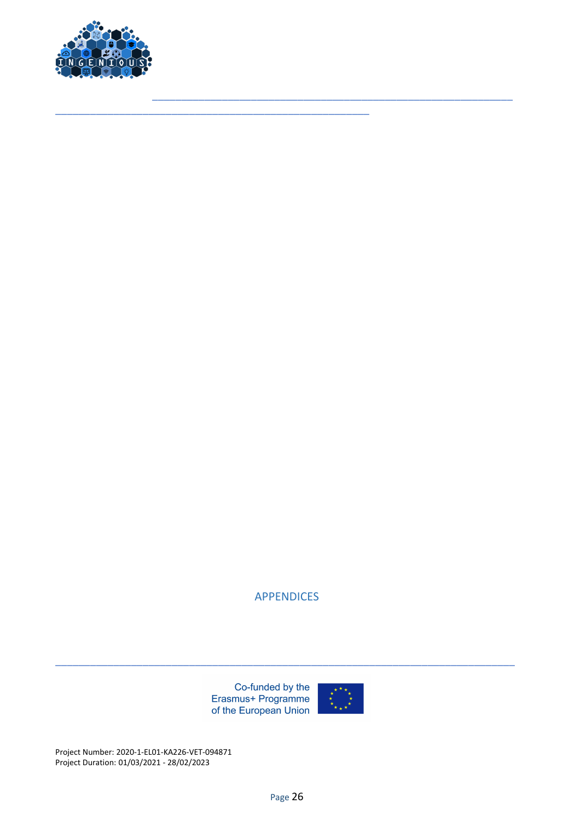

**APPENDICES** 

Co-funded by the<br>Erasmus+ Programme of the European Union

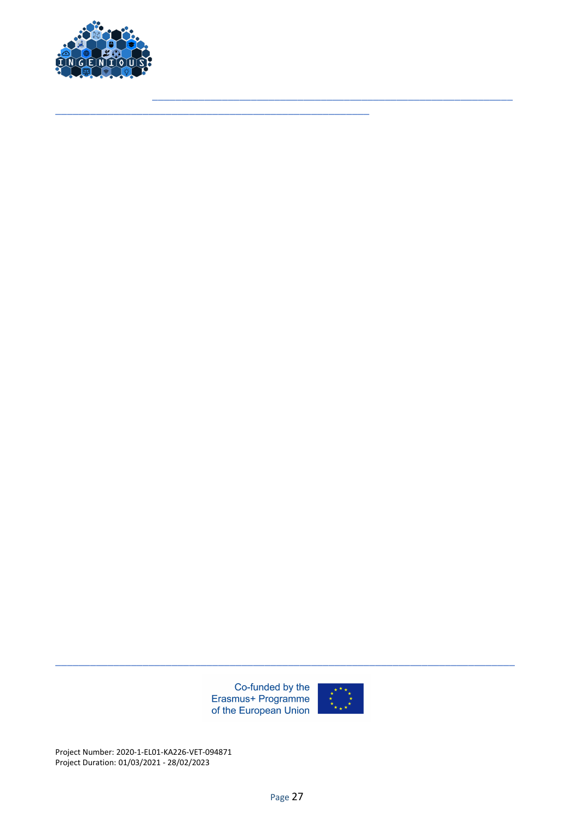

Co-funded by the<br>Erasmus+ Programme<br>of the European Union

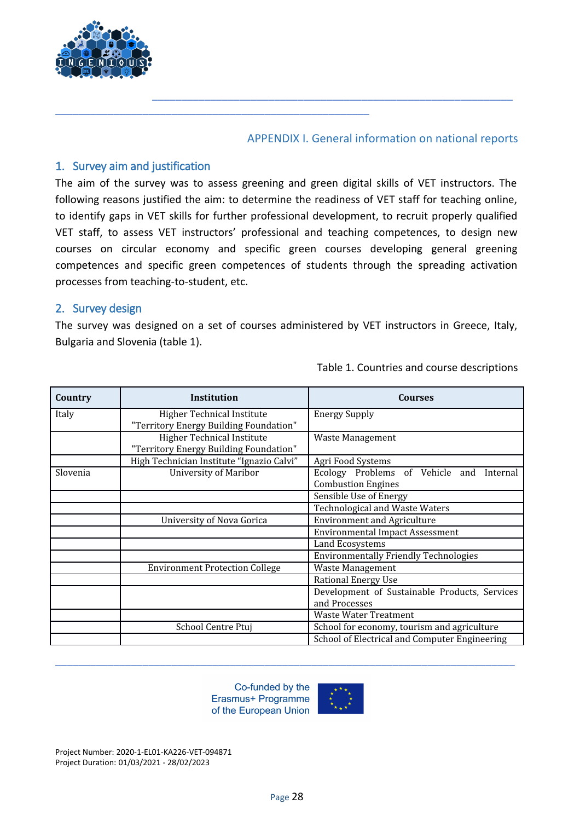

#### APPENDIX I. General information on national reports

\_\_\_\_\_\_\_\_\_\_\_\_\_\_\_\_\_\_\_\_\_\_\_\_\_\_\_\_\_\_\_\_\_\_\_\_\_\_\_\_\_\_\_\_\_\_\_\_\_\_\_\_\_\_\_\_\_\_\_\_\_\_

#### 1. Survey aim and justification

\_\_\_\_\_\_\_\_\_\_\_\_\_\_\_\_\_\_\_\_\_\_\_\_\_\_\_\_\_\_\_\_\_\_\_\_\_\_\_\_\_\_\_\_\_\_\_\_\_\_\_\_\_\_

The aim of the survey was to assess greening and green digital skills of VET instructors. The following reasons justified the aim: to determine the readiness of VET staff for teaching online, to identify gaps in VET skills for further professional development, to recruit properly qualified VET staff, to assess VET instructors' professional and teaching competences, to design new courses on circular economy and specific green courses developing general greening competences and specific green competences of students through the spreading activation processes from teaching-to-student, etc.

#### 2. Survey design

The survey was designed on a set of courses administered by VET instructors in Greece, Italy, Bulgaria and Slovenia (table 1).

| Country  | Institution                               | <b>Courses</b>                                                        |
|----------|-------------------------------------------|-----------------------------------------------------------------------|
| Italy    | Higher Technical Institute                | <b>Energy Supply</b>                                                  |
|          | "Territory Energy Building Foundation"    |                                                                       |
|          | Higher Technical Institute                | Waste Management                                                      |
|          | "Territory Energy Building Foundation"    |                                                                       |
|          | High Technician Institute "Ignazio Calvi" | Agri Food Systems                                                     |
| Slovenia | <b>University of Maribor</b>              | Ecology Problems of Vehicle and Internal<br><b>Combustion Engines</b> |
|          |                                           | Sensible Use of Energy                                                |
|          |                                           | <b>Technological and Waste Waters</b>                                 |
|          | University of Nova Gorica                 | <b>Environment and Agriculture</b>                                    |
|          |                                           | <b>Environmental Impact Assessment</b>                                |
|          |                                           | Land Ecosystems                                                       |
|          |                                           | <b>Environmentally Friendly Technologies</b>                          |
|          | <b>Environment Protection College</b>     | <b>Waste Management</b>                                               |
|          |                                           | <b>Rational Energy Use</b>                                            |
|          |                                           | Development of Sustainable Products, Services                         |
|          |                                           | and Processes                                                         |
|          |                                           | <b>Waste Water Treatment</b>                                          |
|          | School Centre Ptuj                        | School for economy, tourism and agriculture                           |
|          |                                           | School of Electrical and Computer Engineering                         |

Table 1. Countries and course descriptions

Co-funded by the Erasmus+ Programme of the European Union



Project Number: 2020-1-EL01-KA226-VET-094871 Project Duration: 01/03/2021 - 28/02/2023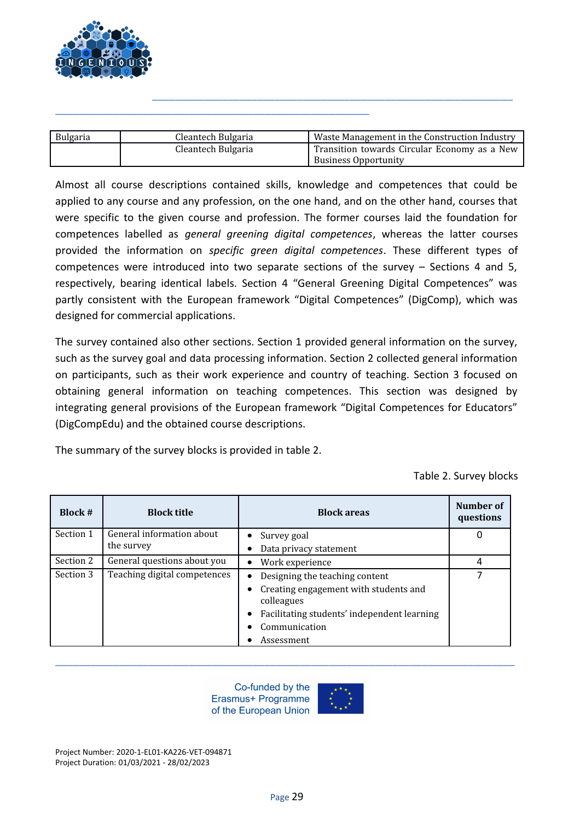

| <b>Bulgaria</b> | Cleantech Bulgaria | Waste Management in the Construction Industry |
|-----------------|--------------------|-----------------------------------------------|
|                 | Cleantech Bulgaria | Transition towards Circular Economy as a New  |
|                 |                    | <b>Business Opportunity</b>                   |

\_\_\_\_\_\_\_\_\_\_\_\_\_\_\_\_\_\_\_\_\_\_\_\_\_\_\_\_\_\_\_\_\_\_\_\_\_\_\_\_\_\_\_\_\_\_\_\_\_\_\_\_\_\_\_\_\_\_\_\_\_\_

Almost all course descriptions contained skills, knowledge and competences that could be applied to any course and any profession, on the one hand, and on the other hand, courses that were specific to the given course and profession. The former courses laid the foundation for competences labelled as *general greening digital competences*, whereas the latter courses provided the information on *specific green digital competences*. These different types of competences were introduced into two separate sections of the survey – Sections 4 and 5, respectively, bearing identical labels. Section 4 "General Greening Digital Competences" was partly consistent with the European framework "Digital Competences" (DigComp), which was designed for commercial applications.

The survey contained also other sections. Section 1 provided general information on the survey, such as the survey goal and data processing information. Section 2 collected general information on participants, such as their work experience and country of teaching. Section 3 focused on obtaining general information on teaching competences. This section was designed by integrating general provisions of the European framework "Digital Competences for Educators" (DigCompEdu) and the obtained course descriptions.

The summary of the survey blocks is provided in table 2.

Table 2. Survey blocks

| <b>Block #</b> | <b>Block title</b>           | <b>Block areas</b>                                  | <b>Number of</b><br>questions |
|----------------|------------------------------|-----------------------------------------------------|-------------------------------|
| Section 1      | General information about    | Survey goal<br>$\bullet$                            | 0                             |
|                | the survey                   | Data privacy statement                              |                               |
| Section 2      | General questions about you  | Work experience<br>$\bullet$                        |                               |
| Section 3      | Teaching digital competences | Designing the teaching content<br>٠                 |                               |
|                |                              | Creating engagement with students and<br>colleagues |                               |
|                |                              | Facilitating students' independent learning<br>٠    |                               |
|                |                              | Communication                                       |                               |
|                |                              | Assessment                                          |                               |

\_\_\_\_\_\_\_\_\_\_\_\_\_\_\_\_\_\_\_\_\_\_\_\_\_\_\_\_\_\_\_\_\_\_\_\_\_\_\_\_\_\_\_\_\_\_\_\_\_\_\_\_\_\_\_\_\_\_\_\_\_\_\_\_\_\_\_\_\_\_\_\_\_\_\_\_\_\_\_

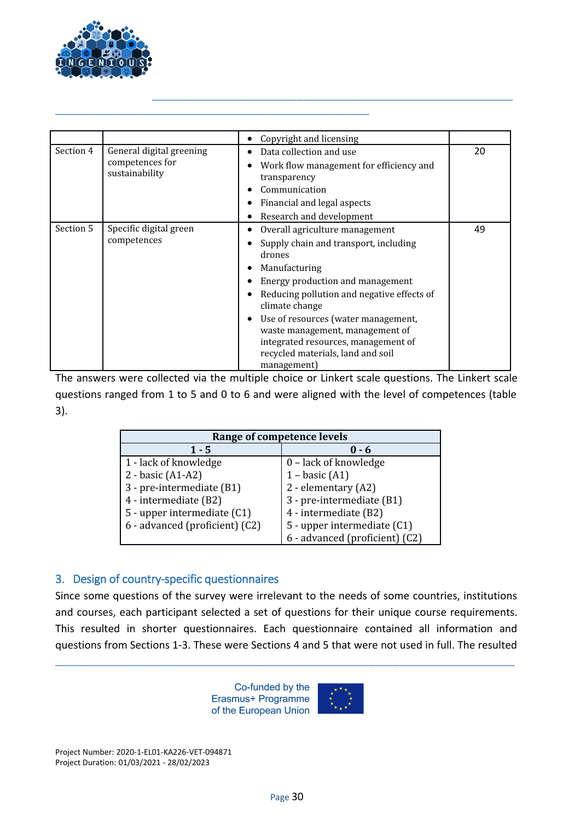

|           |                                                               | Copyright and licensing                                                                                                                                                                                                                                                                                                                                                     |    |
|-----------|---------------------------------------------------------------|-----------------------------------------------------------------------------------------------------------------------------------------------------------------------------------------------------------------------------------------------------------------------------------------------------------------------------------------------------------------------------|----|
| Section 4 | General digital greening<br>competences for<br>sustainability | Data collection and use<br>Work flow management for efficiency and<br>transparency<br>Communication<br>Financial and legal aspects<br>Research and development                                                                                                                                                                                                              | 20 |
| Section 5 | Specific digital green<br>competences                         | Overall agriculture management<br>Supply chain and transport, including<br>drones<br>Manufacturing<br>Energy production and management<br>Reducing pollution and negative effects of<br>climate change<br>Use of resources (water management,<br>waste management, management of<br>integrated resources, management of<br>recycled materials, land and soil<br>management) | 49 |

\_\_\_\_\_\_\_\_\_\_\_\_\_\_\_\_\_\_\_\_\_\_\_\_\_\_\_\_\_\_\_\_\_\_\_\_\_\_\_\_\_\_\_\_\_\_\_\_\_\_\_\_\_\_\_\_\_\_\_\_\_\_

The answers were collected via the multiple choice or Linkert scale questions. The Linkert scale questions ranged from 1 to 5 and 0 to 6 and were aligned with the level of competences (table 3).

| Range of competence levels     |                                |  |  |  |
|--------------------------------|--------------------------------|--|--|--|
| $1 - 5$                        | Օ - 6                          |  |  |  |
| 1 - lack of knowledge          | 0 - lack of knowledge          |  |  |  |
| 2 - basic (A1-A2)              | $1 - basic (A1)$               |  |  |  |
| 3 - pre-intermediate (B1)      | 2 - elementary (A2)            |  |  |  |
| 4 - intermediate (B2)          | 3 - pre-intermediate (B1)      |  |  |  |
| 5 - upper intermediate (C1)    | 4 - intermediate (B2)          |  |  |  |
| 6 - advanced (proficient) (C2) | 5 - upper intermediate (C1)    |  |  |  |
|                                | 6 - advanced (proficient) (C2) |  |  |  |

## 3. Design of country-specific questionnaires

Since some questions of the survey were irrelevant to the needs of some countries, institutions and courses, each participant selected a set of questions for their unique course requirements. This resulted in shorter questionnaires. Each questionnaire contained all information and questions from Sections 1-3. These were Sections 4 and 5 that were not used in full. The resulted

\_\_\_\_\_\_\_\_\_\_\_\_\_\_\_\_\_\_\_\_\_\_\_\_\_\_\_\_\_\_\_\_\_\_\_\_\_\_\_\_\_\_\_\_\_\_\_\_\_\_\_\_\_\_\_\_\_\_\_\_\_\_\_\_\_\_\_\_\_\_\_\_\_\_\_\_\_\_\_

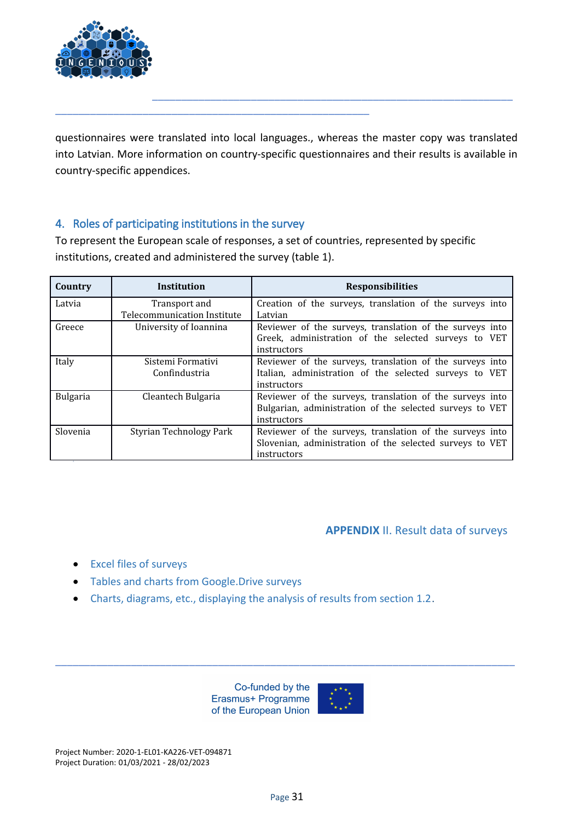

questionnaires were translated into local languages., whereas the master copy was translated into Latvian. More information on country-specific questionnaires and their results is available in country-specific appendices.

\_\_\_\_\_\_\_\_\_\_\_\_\_\_\_\_\_\_\_\_\_\_\_\_\_\_\_\_\_\_\_\_\_\_\_\_\_\_\_\_\_\_\_\_\_\_\_\_\_\_\_\_\_\_\_\_\_\_\_\_\_\_

## 4. Roles of participating institutions in the survey

\_\_\_\_\_\_\_\_\_\_\_\_\_\_\_\_\_\_\_\_\_\_\_\_\_\_\_\_\_\_\_\_\_\_\_\_\_\_\_\_\_\_\_\_\_\_\_\_\_\_\_\_\_\_

To represent the European scale of responses, a set of countries, represented by specific institutions, created and administered the survey (table 1).

| Country  | <b>Institution</b>          | <b>Responsibilities</b>                                  |
|----------|-----------------------------|----------------------------------------------------------|
| Latvia   | Transport and               | Creation of the surveys, translation of the surveys into |
|          | Telecommunication Institute | Latvian                                                  |
| Greece   | University of Ioannina      | Reviewer of the surveys, translation of the surveys into |
|          |                             | Greek, administration of the selected surveys to VET     |
|          |                             | instructors                                              |
| Italy    | Sistemi Formativi           | Reviewer of the surveys, translation of the surveys into |
|          | Confindustria               | Italian, administration of the selected surveys to VET   |
|          |                             | instructors                                              |
| Bulgaria | Cleantech Bulgaria          | Reviewer of the surveys, translation of the surveys into |
|          |                             | Bulgarian, administration of the selected surveys to VET |
|          |                             | instructors                                              |
| Slovenia | Styrian Technology Park     | Reviewer of the surveys, translation of the surveys into |
|          |                             | Slovenian, administration of the selected surveys to VET |
|          |                             | instructors                                              |

## **APPENDIX** II. Result data of surveys

- Excel files of surveys
- Tables and charts from Google. Drive surveys
- Charts, diagrams, etc., displaying the analysis of results from section 1.2.

Co-funded by the Erasmus+ Programme of the European Union



Project Number: 2020-1-EL01-KA226-VET-094871 Project Duration: 01/03/2021 - 28/02/2023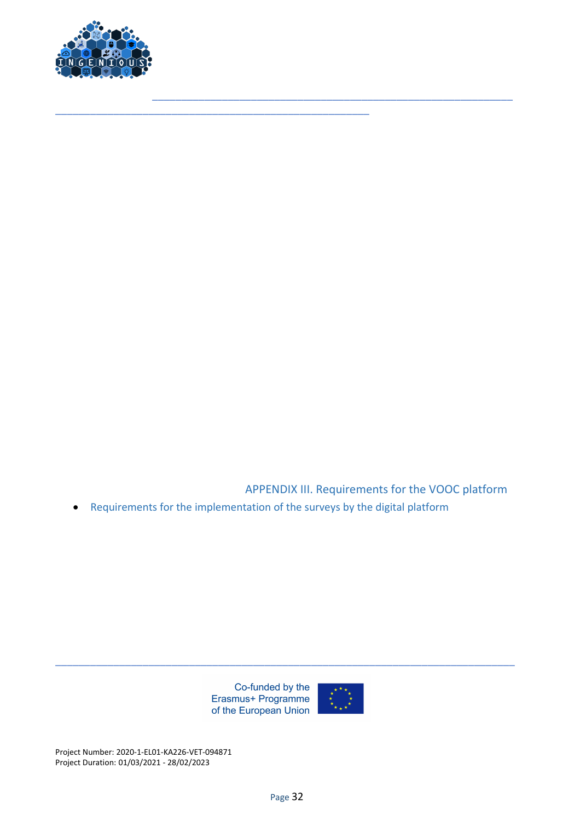

APPENDIX III. Requirements for the VOOC platform Requirements for the implementation of the surveys by the digital platform

\_\_\_\_\_\_\_\_\_\_\_\_\_\_\_\_\_\_\_\_\_\_\_\_\_\_\_\_\_\_\_\_\_\_\_\_\_\_\_\_\_\_\_\_\_\_\_\_\_\_\_\_\_\_\_\_\_\_\_\_\_\_

Co-funded by the Erasmus+ Programme of the European Union



Project Number: 2020-1-EL01-KA226-VET-094871 Project Duration: 01/03/2021 - 28/02/2023